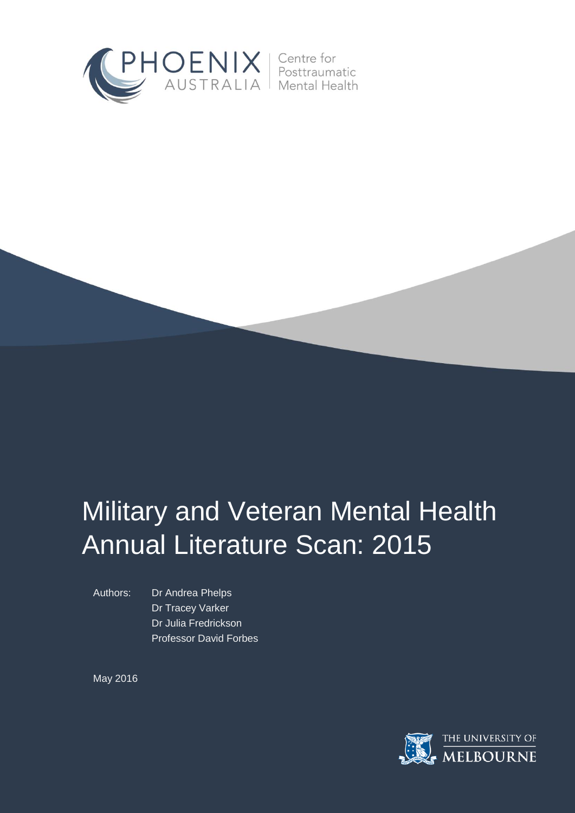

# Military and Veteran Mental Health Annual Literature Scan: 2015

Authors: Dr Andrea Phelps Dr Tracey Varker Dr Julia Fredrickson Professor David Forbes

May 2016

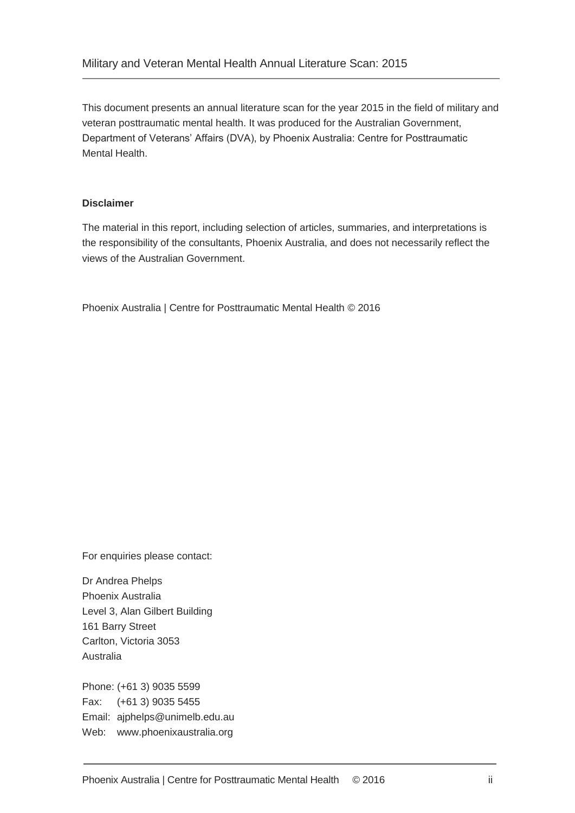This document presents an annual literature scan for the year 2015 in the field of military and veteran posttraumatic mental health. It was produced for the Australian Government, Department of Veterans' Affairs (DVA), by Phoenix Australia: Centre for Posttraumatic Mental Health.

### **Disclaimer**

The material in this report, including selection of articles, summaries, and interpretations is the responsibility of the consultants, Phoenix Australia, and does not necessarily reflect the views of the Australian Government.

Phoenix Australia | Centre for Posttraumatic Mental Health © 2016

For enquiries please contact:

Dr Andrea Phelps Phoenix Australia Level 3, Alan Gilbert Building 161 Barry Street Carlton, Victoria 3053 Australia

Phone: (+61 3) 9035 5599 Fax: (+61 3) 9035 5455 Email: ajphelps@unimelb.edu.au Web: www.phoenixaustralia.org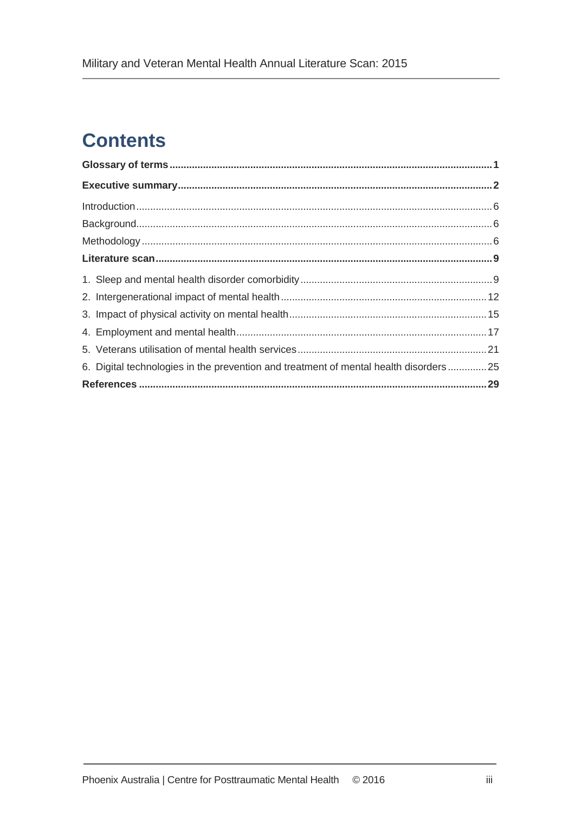## **Contents**

| 6. Digital technologies in the prevention and treatment of mental health disorders25 |  |  |
|--------------------------------------------------------------------------------------|--|--|
|                                                                                      |  |  |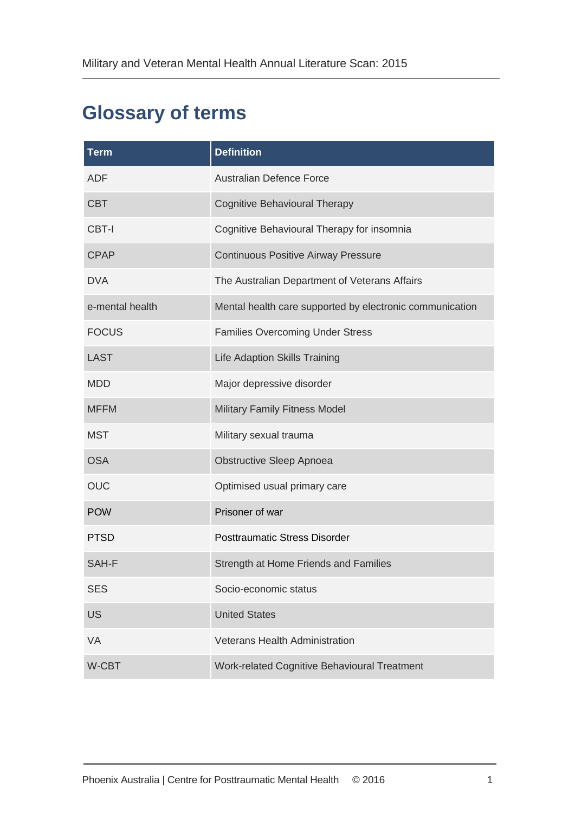## <span id="page-3-0"></span>**Glossary of terms**

| <b>Term</b>     | <b>Definition</b>                                        |
|-----------------|----------------------------------------------------------|
| ADF             | <b>Australian Defence Force</b>                          |
| <b>CBT</b>      | <b>Cognitive Behavioural Therapy</b>                     |
| CBT-I           | Cognitive Behavioural Therapy for insomnia               |
| <b>CPAP</b>     | <b>Continuous Positive Airway Pressure</b>               |
| <b>DVA</b>      | The Australian Department of Veterans Affairs            |
| e-mental health | Mental health care supported by electronic communication |
| <b>FOCUS</b>    | <b>Families Overcoming Under Stress</b>                  |
| <b>LAST</b>     | Life Adaption Skills Training                            |
| <b>MDD</b>      | Major depressive disorder                                |
| <b>MFFM</b>     | Military Family Fitness Model                            |
| <b>MST</b>      | Military sexual trauma                                   |
| <b>OSA</b>      | Obstructive Sleep Apnoea                                 |
| <b>OUC</b>      | Optimised usual primary care                             |
| <b>POW</b>      | Prisoner of war                                          |
| <b>PTSD</b>     | <b>Posttraumatic Stress Disorder</b>                     |
| SAH-F           | Strength at Home Friends and Families                    |
| <b>SES</b>      | Socio-economic status                                    |
| <b>US</b>       | <b>United States</b>                                     |
| <b>VA</b>       | <b>Veterans Health Administration</b>                    |
| <b>W-CBT</b>    | Work-related Cognitive Behavioural Treatment             |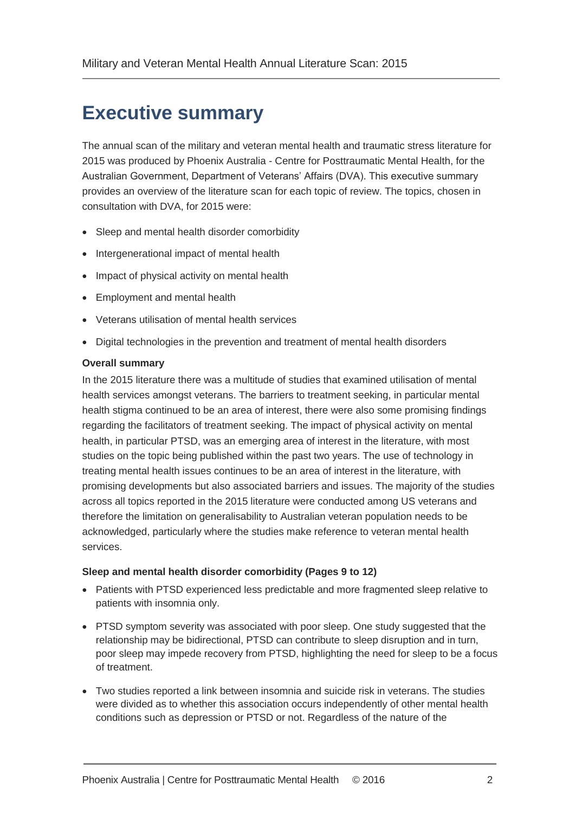## <span id="page-4-0"></span>**Executive summary**

The annual scan of the military and veteran mental health and traumatic stress literature for 2015 was produced by Phoenix Australia - Centre for Posttraumatic Mental Health, for the Australian Government, Department of Veterans' Affairs (DVA). This executive summary provides an overview of the literature scan for each topic of review. The topics, chosen in consultation with DVA, for 2015 were:

- Sleep and mental health disorder comorbidity
- Intergenerational impact of mental health
- Impact of physical activity on mental health
- Employment and mental health
- Veterans utilisation of mental health services
- Digital technologies in the prevention and treatment of mental health disorders

### **Overall summary**

In the 2015 literature there was a multitude of studies that examined utilisation of mental health services amongst veterans. The barriers to treatment seeking, in particular mental health stigma continued to be an area of interest, there were also some promising findings regarding the facilitators of treatment seeking. The impact of physical activity on mental health, in particular PTSD, was an emerging area of interest in the literature, with most studies on the topic being published within the past two years. The use of technology in treating mental health issues continues to be an area of interest in the literature, with promising developments but also associated barriers and issues. The majority of the studies across all topics reported in the 2015 literature were conducted among US veterans and therefore the limitation on generalisability to Australian veteran population needs to be acknowledged, particularly where the studies make reference to veteran mental health services.

### **Sleep and mental health disorder comorbidity (Pages 9 to 12)**

- Patients with PTSD experienced less predictable and more fragmented sleep relative to patients with insomnia only.
- PTSD symptom severity was associated with poor sleep. One study suggested that the relationship may be bidirectional, PTSD can contribute to sleep disruption and in turn, poor sleep may impede recovery from PTSD, highlighting the need for sleep to be a focus of treatment.
- Two studies reported a link between insomnia and suicide risk in veterans. The studies were divided as to whether this association occurs independently of other mental health conditions such as depression or PTSD or not. Regardless of the nature of the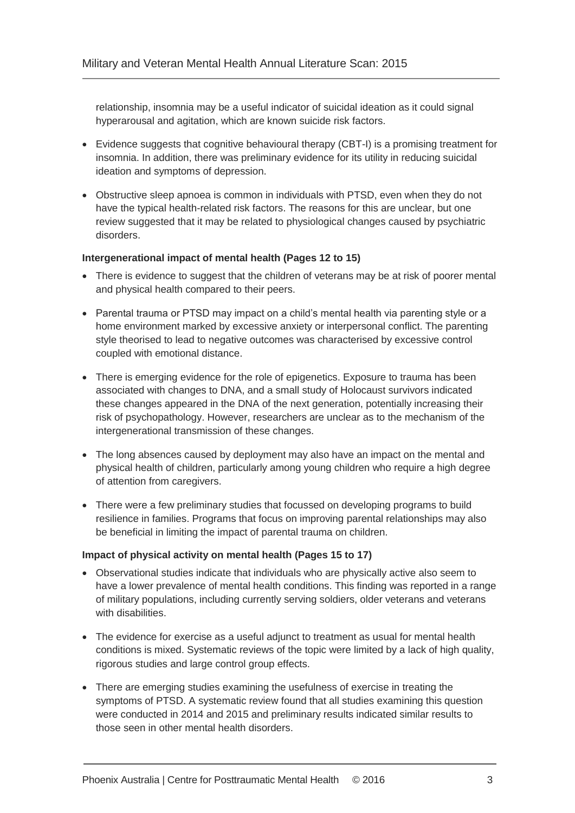relationship, insomnia may be a useful indicator of suicidal ideation as it could signal hyperarousal and agitation, which are known suicide risk factors.

- Evidence suggests that cognitive behavioural therapy (CBT-I) is a promising treatment for insomnia. In addition, there was preliminary evidence for its utility in reducing suicidal ideation and symptoms of depression.
- Obstructive sleep apnoea is common in individuals with PTSD, even when they do not have the typical health-related risk factors. The reasons for this are unclear, but one review suggested that it may be related to physiological changes caused by psychiatric disorders.

### **Intergenerational impact of mental health (Pages 12 to 15)**

- There is evidence to suggest that the children of veterans may be at risk of poorer mental and physical health compared to their peers.
- Parental trauma or PTSD may impact on a child's mental health via parenting style or a home environment marked by excessive anxiety or interpersonal conflict. The parenting style theorised to lead to negative outcomes was characterised by excessive control coupled with emotional distance.
- There is emerging evidence for the role of epigenetics. Exposure to trauma has been associated with changes to DNA, and a small study of Holocaust survivors indicated these changes appeared in the DNA of the next generation, potentially increasing their risk of psychopathology. However, researchers are unclear as to the mechanism of the intergenerational transmission of these changes.
- The long absences caused by deployment may also have an impact on the mental and physical health of children, particularly among young children who require a high degree of attention from caregivers.
- There were a few preliminary studies that focussed on developing programs to build resilience in families. Programs that focus on improving parental relationships may also be beneficial in limiting the impact of parental trauma on children.

### **Impact of physical activity on mental health (Pages 15 to 17)**

- Observational studies indicate that individuals who are physically active also seem to have a lower prevalence of mental health conditions. This finding was reported in a range of military populations, including currently serving soldiers, older veterans and veterans with disabilities.
- The evidence for exercise as a useful adjunct to treatment as usual for mental health conditions is mixed. Systematic reviews of the topic were limited by a lack of high quality, rigorous studies and large control group effects.
- There are emerging studies examining the usefulness of exercise in treating the symptoms of PTSD. A systematic review found that all studies examining this question were conducted in 2014 and 2015 and preliminary results indicated similar results to those seen in other mental health disorders.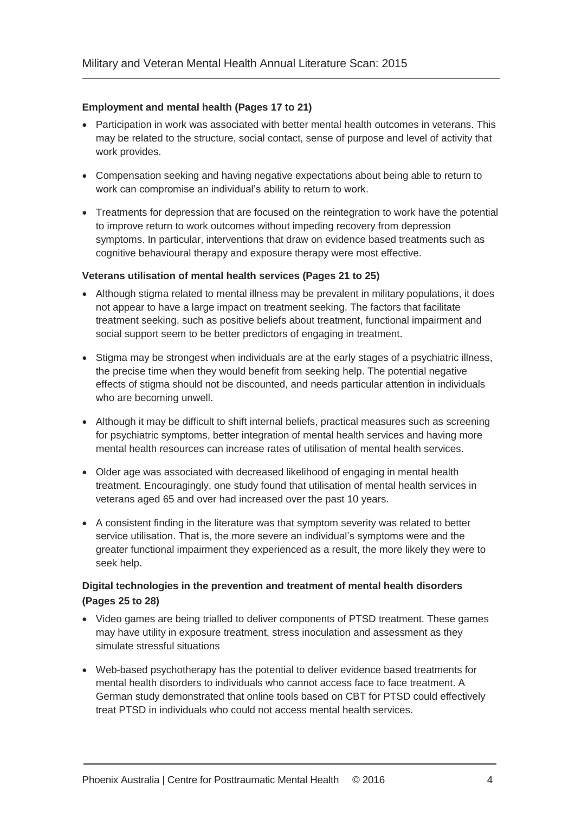### **Employment and mental health (Pages 17 to 21)**

- Participation in work was associated with better mental health outcomes in veterans. This may be related to the structure, social contact, sense of purpose and level of activity that work provides.
- Compensation seeking and having negative expectations about being able to return to work can compromise an individual's ability to return to work.
- Treatments for depression that are focused on the reintegration to work have the potential to improve return to work outcomes without impeding recovery from depression symptoms. In particular, interventions that draw on evidence based treatments such as cognitive behavioural therapy and exposure therapy were most effective.

#### **Veterans utilisation of mental health services (Pages 21 to 25)**

- Although stigma related to mental illness may be prevalent in military populations, it does not appear to have a large impact on treatment seeking. The factors that facilitate treatment seeking, such as positive beliefs about treatment, functional impairment and social support seem to be better predictors of engaging in treatment.
- Stigma may be strongest when individuals are at the early stages of a psychiatric illness, the precise time when they would benefit from seeking help. The potential negative effects of stigma should not be discounted, and needs particular attention in individuals who are becoming unwell.
- Although it may be difficult to shift internal beliefs, practical measures such as screening for psychiatric symptoms, better integration of mental health services and having more mental health resources can increase rates of utilisation of mental health services.
- Older age was associated with decreased likelihood of engaging in mental health treatment. Encouragingly, one study found that utilisation of mental health services in veterans aged 65 and over had increased over the past 10 years.
- A consistent finding in the literature was that symptom severity was related to better service utilisation. That is, the more severe an individual's symptoms were and the greater functional impairment they experienced as a result, the more likely they were to seek help.

### **Digital technologies in the prevention and treatment of mental health disorders (Pages 25 to 28)**

- Video games are being trialled to deliver components of PTSD treatment. These games may have utility in exposure treatment, stress inoculation and assessment as they simulate stressful situations
- Web-based psychotherapy has the potential to deliver evidence based treatments for mental health disorders to individuals who cannot access face to face treatment. A German study demonstrated that online tools based on CBT for PTSD could effectively treat PTSD in individuals who could not access mental health services.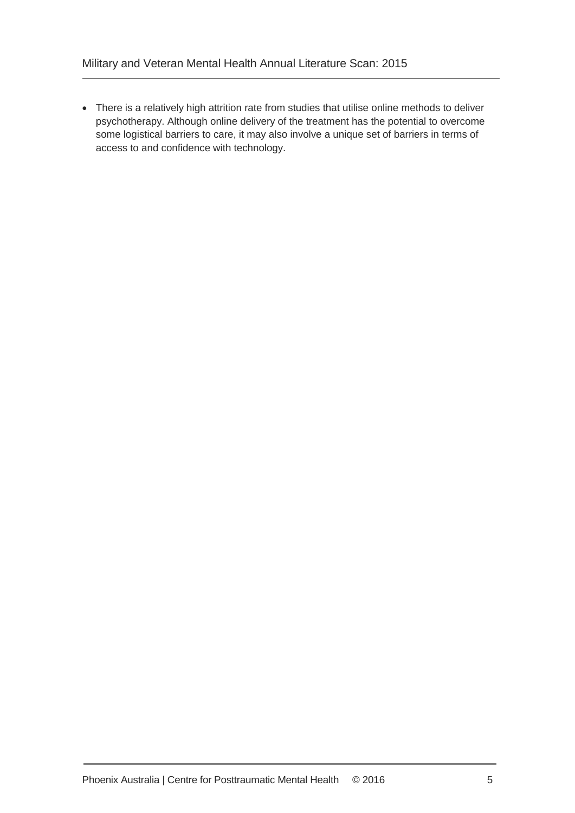There is a relatively high attrition rate from studies that utilise online methods to deliver psychotherapy. Although online delivery of the treatment has the potential to overcome some logistical barriers to care, it may also involve a unique set of barriers in terms of access to and confidence with technology.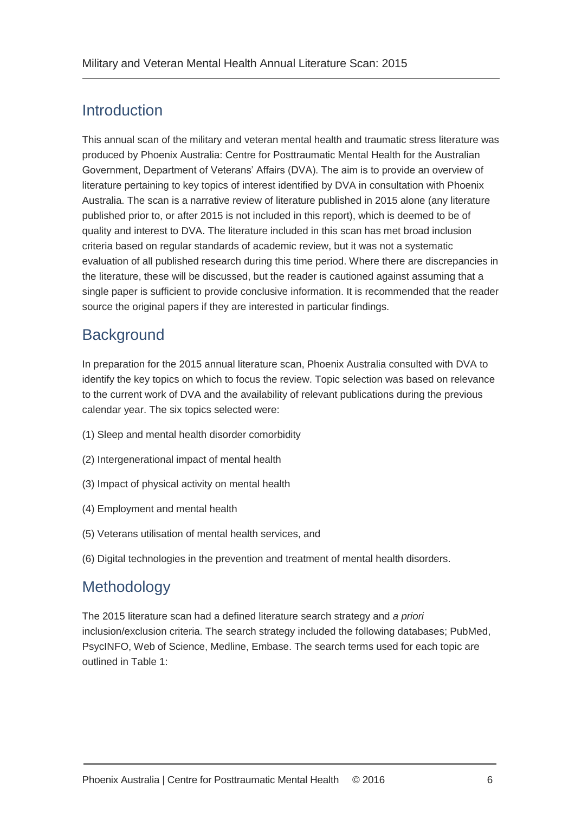### <span id="page-8-0"></span>Introduction

This annual scan of the military and veteran mental health and traumatic stress literature was produced by Phoenix Australia: Centre for Posttraumatic Mental Health for the Australian Government, Department of Veterans' Affairs (DVA). The aim is to provide an overview of literature pertaining to key topics of interest identified by DVA in consultation with Phoenix Australia. The scan is a narrative review of literature published in 2015 alone (any literature published prior to, or after 2015 is not included in this report), which is deemed to be of quality and interest to DVA. The literature included in this scan has met broad inclusion criteria based on regular standards of academic review, but it was not a systematic evaluation of all published research during this time period. Where there are discrepancies in the literature, these will be discussed, but the reader is cautioned against assuming that a single paper is sufficient to provide conclusive information. It is recommended that the reader source the original papers if they are interested in particular findings.

### <span id="page-8-1"></span>**Background**

In preparation for the 2015 annual literature scan, Phoenix Australia consulted with DVA to identify the key topics on which to focus the review. Topic selection was based on relevance to the current work of DVA and the availability of relevant publications during the previous calendar year. The six topics selected were:

- (1) Sleep and mental health disorder comorbidity
- (2) Intergenerational impact of mental health
- (3) Impact of physical activity on mental health
- (4) Employment and mental health
- (5) Veterans utilisation of mental health services, and
- (6) Digital technologies in the prevention and treatment of mental health disorders.

### <span id="page-8-2"></span>**Methodology**

The 2015 literature scan had a defined literature search strategy and *a priori*  inclusion/exclusion criteria. The search strategy included the following databases; PubMed, PsycINFO, Web of Science, Medline, Embase. The search terms used for each topic are outlined in Table 1: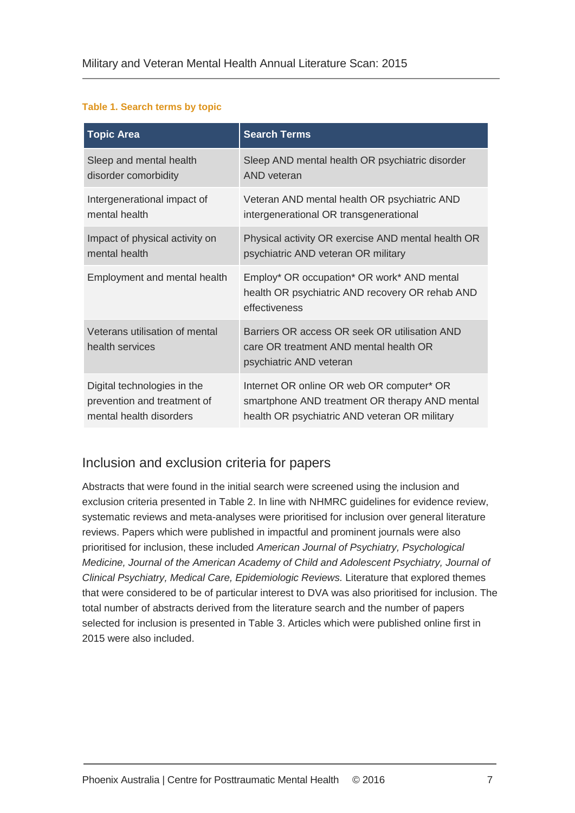### **Table 1. Search terms by topic**

| <b>Topic Area</b>                                 | <b>Search Terms</b>                                                                                                |  |
|---------------------------------------------------|--------------------------------------------------------------------------------------------------------------------|--|
| Sleep and mental health                           | Sleep AND mental health OR psychiatric disorder                                                                    |  |
| disorder comorbidity                              | <b>AND</b> veteran                                                                                                 |  |
| Intergenerational impact of                       | Veteran AND mental health OR psychiatric AND                                                                       |  |
| mental health                                     | intergenerational OR transgenerational                                                                             |  |
| Impact of physical activity on                    | Physical activity OR exercise AND mental health OR                                                                 |  |
| mental health                                     | psychiatric AND veteran OR military                                                                                |  |
| Employment and mental health                      | Employ* OR occupation* OR work* AND mental<br>health OR psychiatric AND recovery OR rehab AND<br>effectiveness     |  |
| Veterans utilisation of mental<br>health services | Barriers OR access OR seek OR utilisation AND<br>care OR treatment AND mental health OR<br>psychiatric AND veteran |  |
| Digital technologies in the                       | Internet OR online OR web OR computer* OR                                                                          |  |
| prevention and treatment of                       | smartphone AND treatment OR therapy AND mental                                                                     |  |
| mental health disorders                           | health OR psychiatric AND veteran OR military                                                                      |  |

### Inclusion and exclusion criteria for papers

Abstracts that were found in the initial search were screened using the inclusion and exclusion criteria presented in Table 2. In line with NHMRC guidelines for evidence review, systematic reviews and meta-analyses were prioritised for inclusion over general literature reviews. Papers which were published in impactful and prominent journals were also prioritised for inclusion, these included *American Journal of Psychiatry, Psychological Medicine, Journal of the American Academy of Child and Adolescent Psychiatry, Journal of Clinical Psychiatry, Medical Care, Epidemiologic Reviews.* Literature that explored themes that were considered to be of particular interest to DVA was also prioritised for inclusion. The total number of abstracts derived from the literature search and the number of papers selected for inclusion is presented in Table 3. Articles which were published online first in 2015 were also included.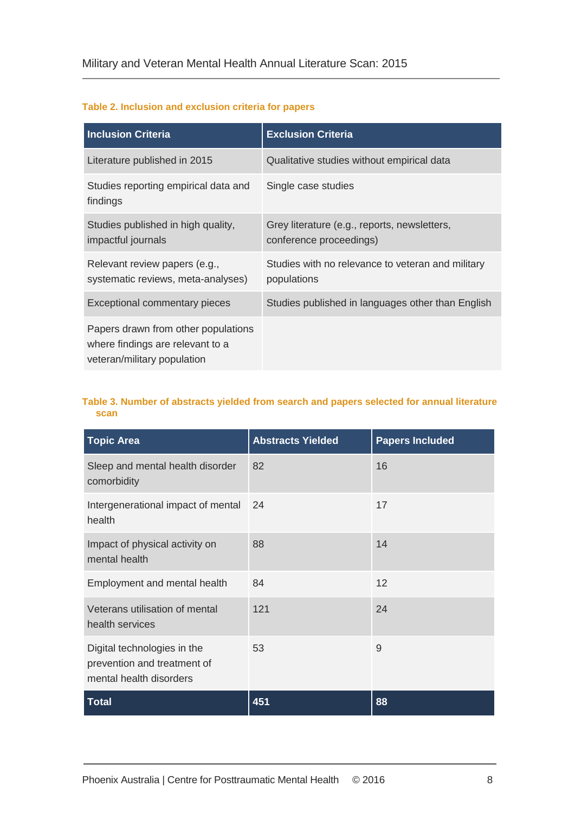#### **Table 2. Inclusion and exclusion criteria for papers**

| <b>Inclusion Criteria</b>                                                                              | <b>Exclusion Criteria</b>                                               |
|--------------------------------------------------------------------------------------------------------|-------------------------------------------------------------------------|
| Literature published in 2015                                                                           | Qualitative studies without empirical data                              |
| Studies reporting empirical data and<br>findings                                                       | Single case studies                                                     |
| Studies published in high quality,<br>impactful journals                                               | Grey literature (e.g., reports, newsletters,<br>conference proceedings) |
| Relevant review papers (e.g.,<br>systematic reviews, meta-analyses)                                    | Studies with no relevance to veteran and military<br>populations        |
| Exceptional commentary pieces                                                                          | Studies published in languages other than English                       |
| Papers drawn from other populations<br>where findings are relevant to a<br>veteran/military population |                                                                         |

#### **Table 3. Number of abstracts yielded from search and papers selected for annual literature scan**

| <b>Topic Area</b>                                                                     | <b>Abstracts Yielded</b> | <b>Papers Included</b> |
|---------------------------------------------------------------------------------------|--------------------------|------------------------|
| Sleep and mental health disorder<br>comorbidity                                       | 82                       | 16                     |
| Intergenerational impact of mental<br>health                                          | 24                       | 17                     |
| Impact of physical activity on<br>mental health                                       | 88                       | 14                     |
| Employment and mental health                                                          | 84                       | 12                     |
| Veterans utilisation of mental<br>health services                                     | 121                      | 24                     |
| Digital technologies in the<br>prevention and treatment of<br>mental health disorders | 53                       | 9                      |
| <b>Total</b>                                                                          | 451                      | 88                     |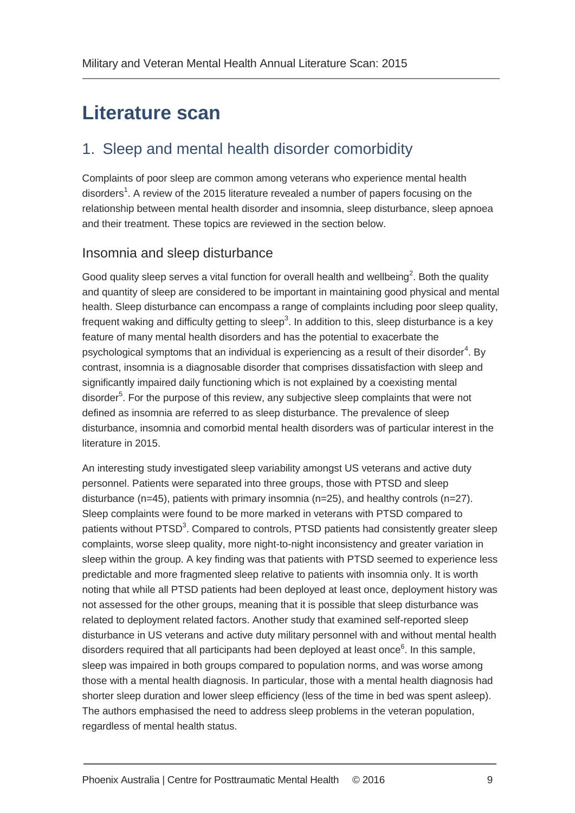## <span id="page-11-0"></span>**Literature scan**

### <span id="page-11-1"></span>1. Sleep and mental health disorder comorbidity

Complaints of poor sleep are common among veterans who experience mental health di[s](#page-31-1)orders<sup>1</sup>. A review of the 2015 literature revealed a number of papers focusing on the relationship between mental health disorder and insomnia, sleep disturbance, sleep apnoea and their treatment. These topics are reviewed in the section below.

### Insomnia and sleep disturbance

Good quality sleep serves a vital function for overall health and wellbein[g](#page-31-2)<sup>2</sup>. Both the quality and quantity of sleep are considered to be important in maintaining good physical and mental health. Sleep disturbance can encompass a range of complaints including poor sleep quality, frequent waking and difficulty getting to slee[p](#page-31-3)<sup>3</sup>. In addition to this, sleep disturbance is a key feature of many mental health disorders and has the potential to exacerbate the psychological symptoms that an individual is expe[r](#page-31-4)iencing as a result of their disorder<sup>4</sup>. By contrast, insomnia is a diagnosable disorder that comprises dissatisfaction with sleep and significantly impaired daily functioning which is not explained by a coexisting mental disorder<sup>[5](#page-31-5)</sup>. For the purpose of this review, any subjective sleep complaints that were not defined as insomnia are referred to as sleep disturbance. The prevalence of sleep disturbance, insomnia and comorbid mental health disorders was of particular interest in the literature in 2015.

An interesting study investigated sleep variability amongst US veterans and active duty personnel. Patients were separated into three groups, those with PTSD and sleep disturbance  $(n=45)$ , patients with primary insomnia  $(n=25)$ , and healthy controls  $(n=27)$ . Sleep complaints were found to be more marked in veterans with PTSD compared to patients without PTSD<sup>[3](#page-31-3)</sup>. Compared to controls, PTSD patients had consistently greater sleep complaints, worse sleep quality, more night-to-night inconsistency and greater variation in sleep within the group. A key finding was that patients with PTSD seemed to experience less predictable and more fragmented sleep relative to patients with insomnia only. It is worth noting that while all PTSD patients had been deployed at least once, deployment history was not assessed for the other groups, meaning that it is possible that sleep disturbance was related to deployment related factors. Another study that examined self-reported sleep disturbance in US veterans and active duty military personnel with and without mental health disorders required that all participants had been deployed at least once<sup>[6](#page-31-6)</sup>. In this sample, sleep was impaired in both groups compared to population norms, and was worse among those with a mental health diagnosis. In particular, those with a mental health diagnosis had shorter sleep duration and lower sleep efficiency (less of the time in bed was spent asleep). The authors emphasised the need to address sleep problems in the veteran population, regardless of mental health status.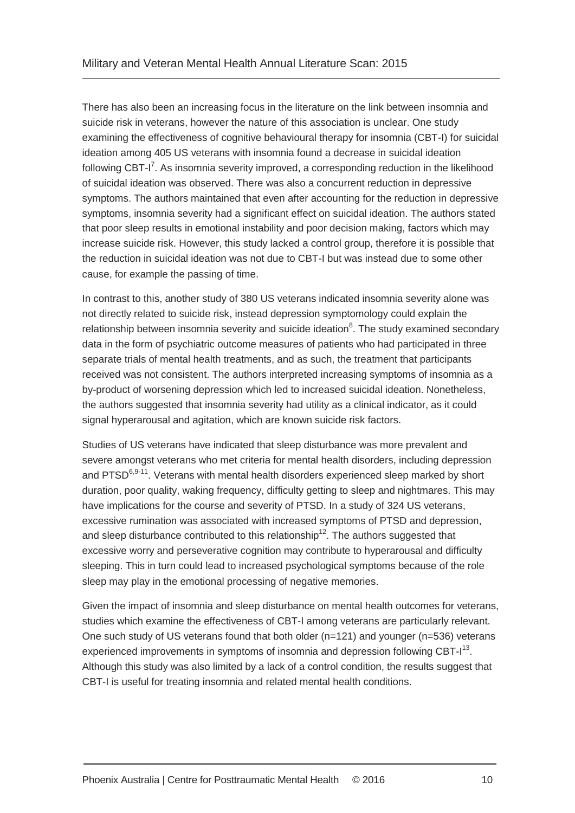There has also been an increasing focus in the literature on the link between insomnia and suicide risk in veterans, however the nature of this association is unclear. One study examining the effectiveness of cognitive behavioural therapy for insomnia (CBT-I) for suicidal ideation among 405 US veterans with insomnia found a decrease in suicidal ideation following CBT-[I](#page-31-7)<sup>7</sup>. As insomnia severity improved, a corresponding reduction in the likelihood of suicidal ideation was observed. There was also a concurrent reduction in depressive symptoms. The authors maintained that even after accounting for the reduction in depressive symptoms, insomnia severity had a significant effect on suicidal ideation. The authors stated that poor sleep results in emotional instability and poor decision making, factors which may increase suicide risk. However, this study lacked a control group, therefore it is possible that the reduction in suicidal ideation was not due to CBT-I but was instead due to some other cause, for example the passing of time.

In contrast to this, another study of 380 US veterans indicated insomnia severity alone was not directly related to suicide risk, instead depression symptomology could explain the relatio[n](#page-31-8)ship between insomnia severity and suicide ideation $8$ . The study examined secondary data in the form of psychiatric outcome measures of patients who had participated in three separate trials of mental health treatments, and as such, the treatment that participants received was not consistent. The authors interpreted increasing symptoms of insomnia as a by-product of worsening depression which led to increased suicidal ideation. Nonetheless, the authors suggested that insomnia severity had utility as a clinical indicator, as it could signal hyperarousal and agitation, which are known suicide risk factors.

Studies of US veterans have indicated that sleep disturbance was more prevalent and severe amongst veterans who met criteria for mental health disorders, including depression and PTSD<sup>[6,](#page-31-6)[9-11](#page-31-9)</sup>. Veterans with mental health disorders experienced sleep marked by short duration, poor quality, waking frequency, difficulty getting to sleep and nightmares. This may have implications for the course and severity of PTSD. In a study of 324 US veterans, excessive rumination was associated with increased symptoms of PTSD and depression, and sleep disturbance contributed to this relationship<sup>[12](#page-31-10)</sup>. The authors suggested that excessive worry and perseverative cognition may contribute to hyperarousal and difficulty sleeping. This in turn could lead to increased psychological symptoms because of the role sleep may play in the emotional processing of negative memories.

Given the impact of insomnia and sleep disturbance on mental health outcomes for veterans, studies which examine the effectiveness of CBT-I among veterans are particularly relevant. One such study of US veterans found that both older (n=121) and younger (n=536) veterans experienced improvements in symptoms of insomnia and depression following CBT- $I<sup>13</sup>$  $I<sup>13</sup>$  $I<sup>13</sup>$ . Although this study was also limited by a lack of a control condition, the results suggest that CBT-I is useful for treating insomnia and related mental health conditions.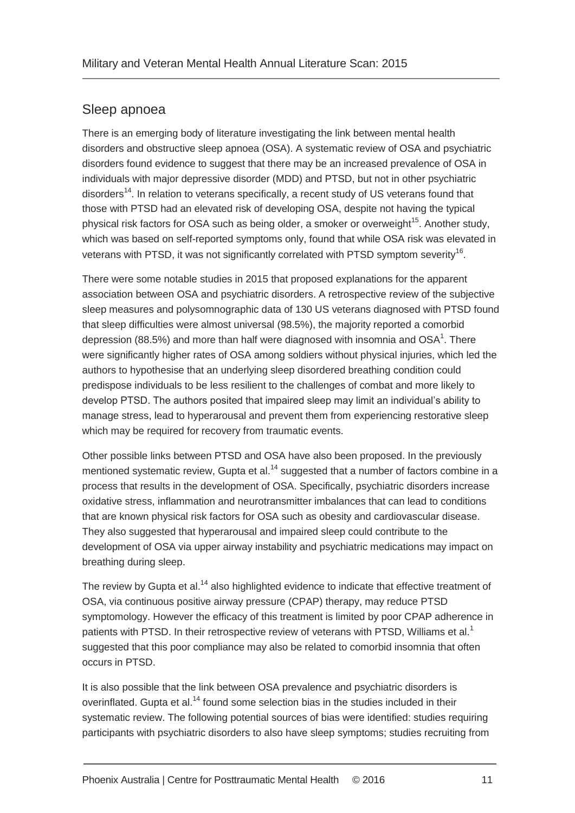### Sleep apnoea

There is an emerging body of literature investigating the link between mental health disorders and obstructive sleep apnoea (OSA). A systematic review of OSA and psychiatric disorders found evidence to suggest that there may be an increased prevalence of OSA in individuals with major depressive disorder (MDD) and PTSD, but not in other psychiatric disorders<sup>[14](#page-31-12)</sup>. In relation to veterans specifically, a recent study of US veterans found that those with PTSD had an elevated risk of developing OSA, despite not having the typical physical risk factors for OSA such as being older, a smoker or overweight<sup>[15](#page-31-13)</sup>. Another study, which was based on self-reported symptoms only, found that while OSA risk was elevated in veterans with PTSD, it was not significantly correlated with PTSD symptom severity<sup>[16](#page-31-14)</sup>.

There were some notable studies in 2015 that proposed explanations for the apparent association between OSA and psychiatric disorders. A retrospective review of the subjective sleep measures and polysomnographic data of 130 US veterans diagnosed with PTSD found that sleep difficulties were almost universal (98.5%), the majority reported a comorbid depression (88.5%) and more than half were diagnosed with insomnia and OS[A](#page-31-1)<sup>1</sup>. There were significantly higher rates of OSA among soldiers without physical injuries, which led the authors to hypothesise that an underlying sleep disordered breathing condition could predispose individuals to be less resilient to the challenges of combat and more likely to develop PTSD. The authors posited that impaired sleep may limit an individual's ability to manage stress, lead to hyperarousal and prevent them from experiencing restorative sleep which may be required for recovery from traumatic events.

Other possible links between PTSD and OSA have also been proposed. In the previously mentioned systematic review, Gupta et al.<sup>[14](#page-31-12)</sup> suggested that a number of factors combine in a process that results in the development of OSA. Specifically, psychiatric disorders increase oxidative stress, inflammation and neurotransmitter imbalances that can lead to conditions that are known physical risk factors for OSA such as obesity and cardiovascular disease. They also suggested that hyperarousal and impaired sleep could contribute to the development of OSA via upper airway instability and psychiatric medications may impact on breathing during sleep.

The review by Gupta et al.<sup>[14](#page-31-12)</sup> also highlighted evidence to indicate that effective treatment of OSA, via continuous positive airway pressure (CPAP) therapy, may reduce PTSD symptomology. However the efficacy of this treatment is limited by poor CPAP adherence in patients with PTSD[.](#page-31-1) In their retrospective review of veterans with PTSD, Williams et al.<sup>1</sup> suggested that this poor compliance may also be related to comorbid insomnia that often occurs in PTSD.

It is also possible that the link between OSA prevalence and psychiatric disorders is overinflated. Gupta et al.<sup>[14](#page-31-12)</sup> found some selection bias in the studies included in their systematic review. The following potential sources of bias were identified: studies requiring participants with psychiatric disorders to also have sleep symptoms; studies recruiting from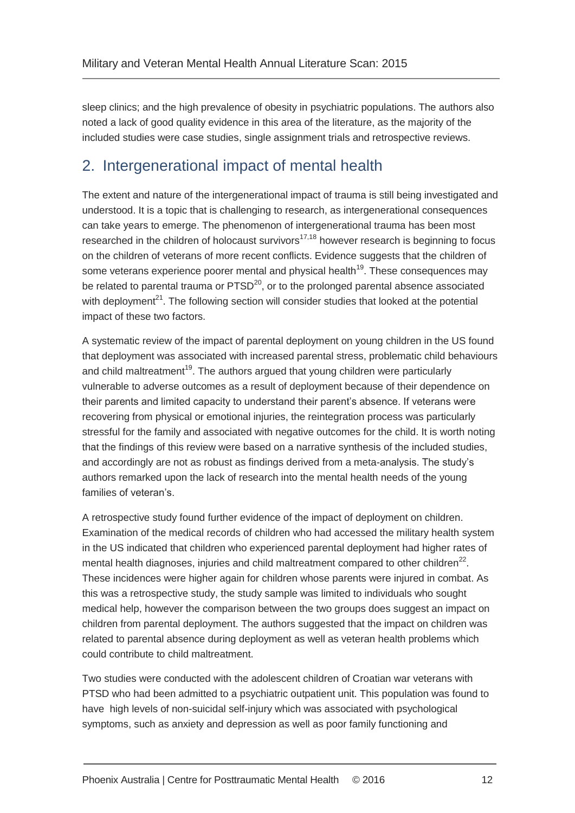sleep clinics; and the high prevalence of obesity in psychiatric populations. The authors also noted a lack of good quality evidence in this area of the literature, as the majority of the included studies were case studies, single assignment trials and retrospective reviews.

### <span id="page-14-0"></span>2. Intergenerational impact of mental health

The extent and nature of the intergenerational impact of trauma is still being investigated and understood. It is a topic that is challenging to research, as intergenerational consequences can take years to emerge. The phenomenon of intergenerational trauma has been most researched in the children of holocaust survivors<sup>[17](#page-31-15)[,18](#page-32-0)</sup> however research is beginning to focus on the children of veterans of more recent conflicts. Evidence suggests that the children of some veterans experience poorer mental and physical health<sup>[19](#page-32-1)</sup>. These consequences may be related to parental trauma or  $PTSD<sup>20</sup>$  $PTSD<sup>20</sup>$  $PTSD<sup>20</sup>$ , or to the prolonged parental absence associated with deployment<sup>[21](#page-32-3)</sup>. The following section will consider studies that looked at the potential impact of these two factors.

A systematic review of the impact of parental deployment on young children in the US found that deployment was associated with increased parental stress, problematic child behaviours and child maltreatment<sup>[19](#page-32-1)</sup>. The authors argued that young children were particularly vulnerable to adverse outcomes as a result of deployment because of their dependence on their parents and limited capacity to understand their parent's absence. If veterans were recovering from physical or emotional injuries, the reintegration process was particularly stressful for the family and associated with negative outcomes for the child. It is worth noting that the findings of this review were based on a narrative synthesis of the included studies, and accordingly are not as robust as findings derived from a meta-analysis. The study's authors remarked upon the lack of research into the mental health needs of the young families of veteran's.

A retrospective study found further evidence of the impact of deployment on children. Examination of the medical records of children who had accessed the military health system in the US indicated that children who experienced parental deployment had higher rates of mental health diagnoses, injuries and child maltreatment compared to other children $^{22}$  $^{22}$  $^{22}$ . These incidences were higher again for children whose parents were injured in combat. As this was a retrospective study, the study sample was limited to individuals who sought medical help, however the comparison between the two groups does suggest an impact on children from parental deployment. The authors suggested that the impact on children was related to parental absence during deployment as well as veteran health problems which could contribute to child maltreatment.

Two studies were conducted with the adolescent children of Croatian war veterans with PTSD who had been admitted to a psychiatric outpatient unit. This population was found to have high levels of non-suicidal self-injury which was associated with psychological symptoms, such as anxiety and depression as well as poor family functioning and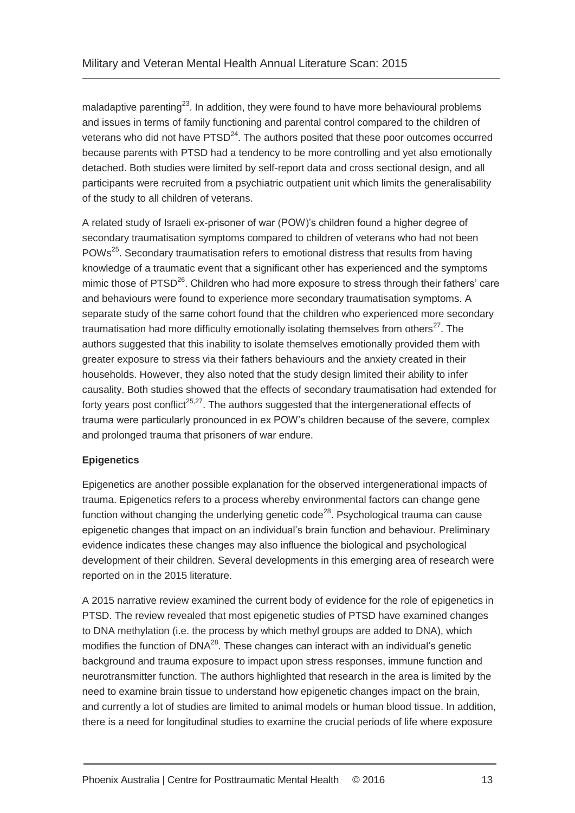maladaptive parenting<sup>[23](#page-32-5)</sup>. In addition, they were found to have more behavioural problems and issues in terms of family functioning and parental control compared to the children of veterans who did not have  $PTSD<sup>24</sup>$  $PTSD<sup>24</sup>$  $PTSD<sup>24</sup>$ . The authors posited that these poor outcomes occurred because parents with PTSD had a tendency to be more controlling and yet also emotionally detached. Both studies were limited by self-report data and cross sectional design, and all participants were recruited from a psychiatric outpatient unit which limits the generalisability of the study to all children of veterans.

A related study of Israeli ex-prisoner of war (POW)'s children found a higher degree of secondary traumatisation symptoms compared to children of veterans who had not been POWs<sup>[25](#page-32-7)</sup>. Secondary traumatisation refers to emotional distress that results from having knowledge of a traumatic event that a significant other has experienced and the symptoms mimic those of PTSD<sup>[26](#page-32-8)</sup>. Children who had more exposure to stress through their fathers' care and behaviours were found to experience more secondary traumatisation symptoms. A separate study of the same cohort found that the children who experienced more secondary traumatisation had more difficulty emotionally isolating themselves from others $^{27}$  $^{27}$  $^{27}$ . The authors suggested that this inability to isolate themselves emotionally provided them with greater exposure to stress via their fathers behaviours and the anxiety created in their households. However, they also noted that the study design limited their ability to infer causality. Both studies showed that the effects of secondary traumatisation had extended for forty years post conflict<sup>[25](#page-32-7)[,27](#page-32-9)</sup>. The authors suggested that the intergenerational effects of trauma were particularly pronounced in ex POW's children because of the severe, complex and prolonged trauma that prisoners of war endure.

### **Epigenetics**

Epigenetics are another possible explanation for the observed intergenerational impacts of trauma. Epigenetics refers to a process whereby environmental factors can change gene function without changing the underlying genetic code<sup>[28](#page-32-10)</sup>. Psychological trauma can cause epigenetic changes that impact on an individual's brain function and behaviour. Preliminary evidence indicates these changes may also influence the biological and psychological development of their children. Several developments in this emerging area of research were reported on in the 2015 literature.

A 2015 narrative review examined the current body of evidence for the role of epigenetics in PTSD. The review revealed that most epigenetic studies of PTSD have examined changes to DNA methylation (i.e. the process by which methyl groups are added to DNA), which modifies the function of  $DNA^{28}$  $DNA^{28}$  $DNA^{28}$ . These changes can interact with an individual's genetic background and trauma exposure to impact upon stress responses, immune function and neurotransmitter function. The authors highlighted that research in the area is limited by the need to examine brain tissue to understand how epigenetic changes impact on the brain, and currently a lot of studies are limited to animal models or human blood tissue. In addition, there is a need for longitudinal studies to examine the crucial periods of life where exposure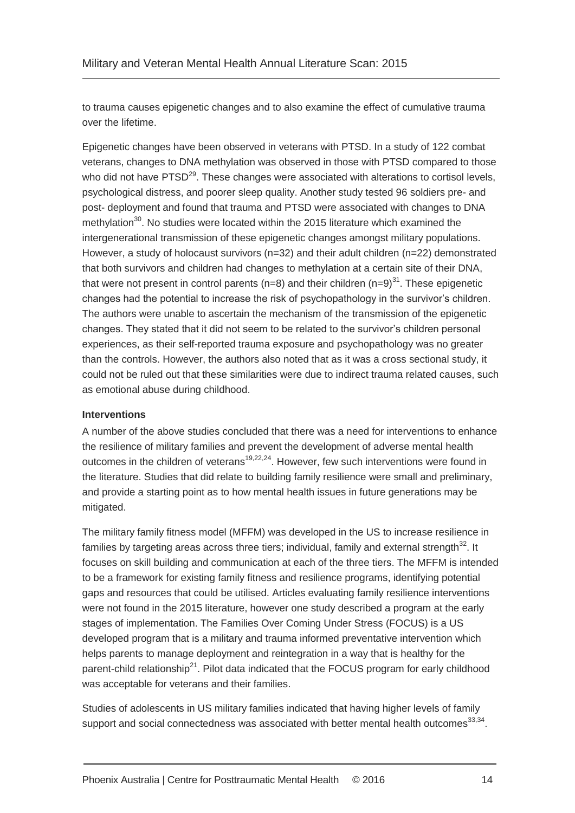to trauma causes epigenetic changes and to also examine the effect of cumulative trauma over the lifetime.

Epigenetic changes have been observed in veterans with PTSD. In a study of 122 combat veterans, changes to DNA methylation was observed in those with PTSD compared to those who did not have PTSD<sup>[29](#page-32-11)</sup>. These changes were associated with alterations to cortisol levels, psychological distress, and poorer sleep quality. Another study tested 96 soldiers pre- and post- deployment and found that trauma and PTSD were associated with changes to DNA methylation $30$ . No studies were located within the 2015 literature which examined the intergenerational transmission of these epigenetic changes amongst military populations. However, a study of holocaust survivors (n=32) and their adult children (n=22) demonstrated that both survivors and children had changes to methylation at a certain site of their DNA, that were not present in control parents ( $n=8$ ) and their children ( $n=9$ )<sup>[31](#page-32-13)</sup>. These epigenetic changes had the potential to increase the risk of psychopathology in the survivor's children. The authors were unable to ascertain the mechanism of the transmission of the epigenetic changes. They stated that it did not seem to be related to the survivor's children personal experiences, as their self-reported trauma exposure and psychopathology was no greater than the controls. However, the authors also noted that as it was a cross sectional study, it could not be ruled out that these similarities were due to indirect trauma related causes, such as emotional abuse during childhood.

### **Interventions**

A number of the above studies concluded that there was a need for interventions to enhance the resilience of military families and prevent the development of adverse mental health outcomes in the children of veterans<sup>[19,](#page-32-1)[22](#page-32-4)[,24](#page-32-6)</sup>. However, few such interventions were found in the literature. Studies that did relate to building family resilience were small and preliminary, and provide a starting point as to how mental health issues in future generations may be mitigated.

The military family fitness model (MFFM) was developed in the US to increase resilience in families by targeting areas across three tiers; individual, family and external strength<sup>[32](#page-32-14)</sup>. It focuses on skill building and communication at each of the three tiers. The MFFM is intended to be a framework for existing family fitness and resilience programs, identifying potential gaps and resources that could be utilised. Articles evaluating family resilience interventions were not found in the 2015 literature, however one study described a program at the early stages of implementation. The Families Over Coming Under Stress (FOCUS) is a US developed program that is a military and trauma informed preventative intervention which helps parents to manage deployment and reintegration in a way that is healthy for the parent-child relationship<sup>[21](#page-32-3)</sup>. Pilot data indicated that the FOCUS program for early childhood was acceptable for veterans and their families.

Studies of adolescents in US military families indicated that having higher levels of family support and social connectedness was associated with better mental health outcomes<sup>[33](#page-32-15)[,34](#page-32-16)</sup>.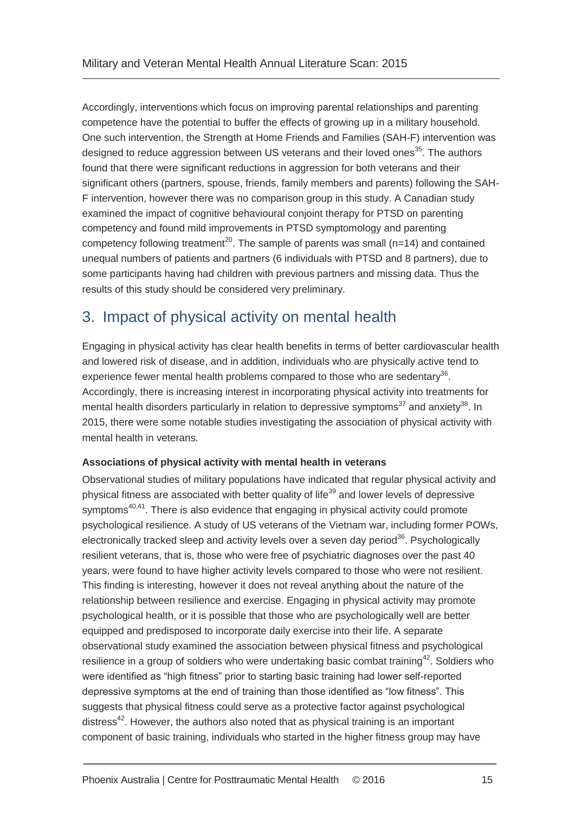Accordingly, interventions which focus on improving parental relationships and parenting competence have the potential to buffer the effects of growing up in a military household. One such intervention, the Strength at Home Friends and Families (SAH-F) intervention was designed to reduce aggression between US veterans and their loved ones<sup>[35](#page-33-0)</sup>. The authors found that there were significant reductions in aggression for both veterans and their significant others (partners, spouse, friends, family members and parents) following the SAH-F intervention, however there was no comparison group in this study. A Canadian study examined the impact of cognitive behavioural conjoint therapy for PTSD on parenting competency and found mild improvements in PTSD symptomology and parenting competency following treatment<sup>[20](#page-32-2)</sup>. The sample of parents was small ( $n=14$ ) and contained unequal numbers of patients and partners (6 individuals with PTSD and 8 partners), due to some participants having had children with previous partners and missing data. Thus the results of this study should be considered very preliminary.

### <span id="page-17-0"></span>3. Impact of physical activity on mental health

Engaging in physical activity has clear health benefits in terms of better cardiovascular health and lowered risk of disease, and in addition, individuals who are physically active tend to experience fewer mental health problems compared to those who are sedentary $36$ . Accordingly, there is increasing interest in incorporating physical activity into treatments for mental health disorders particularly in relation to depressive symptoms<sup>[37](#page-33-2)</sup> and anxiety<sup>[38](#page-33-3)</sup>. In 2015, there were some notable studies investigating the association of physical activity with mental health in veterans.

### **Associations of physical activity with mental health in veterans**

Observational studies of military populations have indicated that regular physical activity and physical fitness are associated with better quality of life<sup>[39](#page-33-4)</sup> and lower levels of depressive symptoms $40,41$  $40,41$ . There is also evidence that engaging in physical activity could promote psychological resilience. A study of US veterans of the Vietnam war, including former POWs, electronically tracked sleep and activity levels over a seven day period<sup>[36](#page-33-1)</sup>. Psychologically resilient veterans, that is, those who were free of psychiatric diagnoses over the past 40 years, were found to have higher activity levels compared to those who were not resilient. This finding is interesting, however it does not reveal anything about the nature of the relationship between resilience and exercise. Engaging in physical activity may promote psychological health, or it is possible that those who are psychologically well are better equipped and predisposed to incorporate daily exercise into their life. A separate observational study examined the association between physical fitness and psychological resilience in a group of soldiers who were undertaking basic combat training<sup>[42](#page-33-7)</sup>. Soldiers who were identified as "high fitness" prior to starting basic training had lower self-reported depressive symptoms at the end of training than those identified as "low fitness". This suggests that physical fitness could serve as a protective factor against psychological distress<sup>[42](#page-33-7)</sup>. However, the authors also noted that as physical training is an important component of basic training, individuals who started in the higher fitness group may have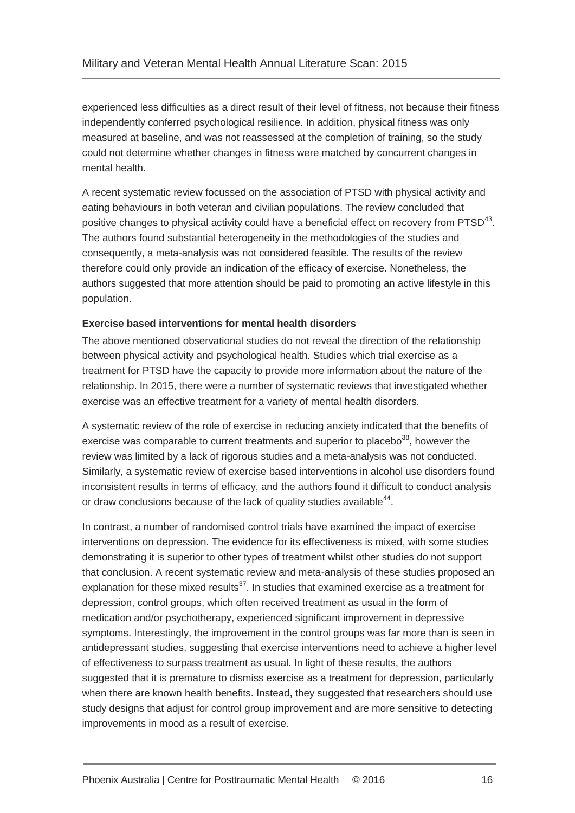experienced less difficulties as a direct result of their level of fitness, not because their fitness independently conferred psychological resilience. In addition, physical fitness was only measured at baseline, and was not reassessed at the completion of training, so the study could not determine whether changes in fitness were matched by concurrent changes in mental health.

A recent systematic review focussed on the association of PTSD with physical activity and eating behaviours in both veteran and civilian populations. The review concluded that positive changes to physical activity could have a beneficial effect on recovery from  $PTSD^{43}$  $PTSD^{43}$  $PTSD^{43}$ . The authors found substantial heterogeneity in the methodologies of the studies and consequently, a meta-analysis was not considered feasible. The results of the review therefore could only provide an indication of the efficacy of exercise. Nonetheless, the authors suggested that more attention should be paid to promoting an active lifestyle in this population.

### **Exercise based interventions for mental health disorders**

The above mentioned observational studies do not reveal the direction of the relationship between physical activity and psychological health. Studies which trial exercise as a treatment for PTSD have the capacity to provide more information about the nature of the relationship. In 2015, there were a number of systematic reviews that investigated whether exercise was an effective treatment for a variety of mental health disorders.

A systematic review of the role of exercise in reducing anxiety indicated that the benefits of exercise was comparable to current treatments and superior to placebo $38$ , however the review was limited by a lack of rigorous studies and a meta-analysis was not conducted. Similarly, a systematic review of exercise based interventions in alcohol use disorders found inconsistent results in terms of efficacy, and the authors found it difficult to conduct analysis or draw conclusions because of the lack of quality studies available<sup>[44](#page-33-9)</sup>.

In contrast, a number of randomised control trials have examined the impact of exercise interventions on depression. The evidence for its effectiveness is mixed, with some studies demonstrating it is superior to other types of treatment whilst other studies do not support that conclusion. A recent systematic review and meta-analysis of these studies proposed an explanation for these mixed results<sup>[37](#page-33-2)</sup>. In studies that examined exercise as a treatment for depression, control groups, which often received treatment as usual in the form of medication and/or psychotherapy, experienced significant improvement in depressive symptoms. Interestingly, the improvement in the control groups was far more than is seen in antidepressant studies, suggesting that exercise interventions need to achieve a higher level of effectiveness to surpass treatment as usual. In light of these results, the authors suggested that it is premature to dismiss exercise as a treatment for depression, particularly when there are known health benefits. Instead, they suggested that researchers should use study designs that adjust for control group improvement and are more sensitive to detecting improvements in mood as a result of exercise.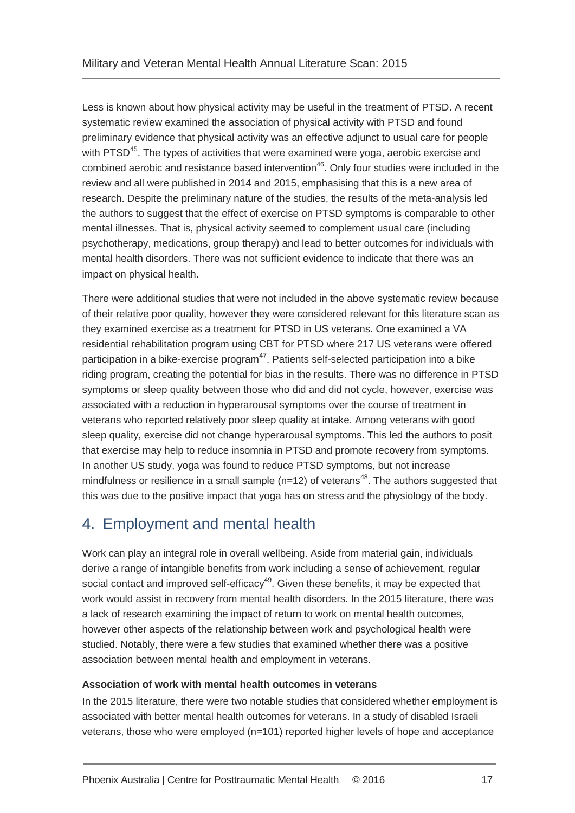Less is known about how physical activity may be useful in the treatment of PTSD. A recent systematic review examined the association of physical activity with PTSD and found preliminary evidence that physical activity was an effective adjunct to usual care for people with PTSD<sup>[45](#page-33-10)</sup>. The types of activities that were examined were yoga, aerobic exercise and combined aerobic and resistance based intervention<sup>[46](#page-33-11)</sup>. Only four studies were included in the review and all were published in 2014 and 2015, emphasising that this is a new area of research. Despite the preliminary nature of the studies, the results of the meta-analysis led the authors to suggest that the effect of exercise on PTSD symptoms is comparable to other mental illnesses. That is, physical activity seemed to complement usual care (including psychotherapy, medications, group therapy) and lead to better outcomes for individuals with mental health disorders. There was not sufficient evidence to indicate that there was an impact on physical health.

There were additional studies that were not included in the above systematic review because of their relative poor quality, however they were considered relevant for this literature scan as they examined exercise as a treatment for PTSD in US veterans. One examined a VA residential rehabilitation program using CBT for PTSD where 217 US veterans were offered participation in a bike-exercise program $47$ . Patients self-selected participation into a bike riding program, creating the potential for bias in the results. There was no difference in PTSD symptoms or sleep quality between those who did and did not cycle, however, exercise was associated with a reduction in hyperarousal symptoms over the course of treatment in veterans who reported relatively poor sleep quality at intake. Among veterans with good sleep quality, exercise did not change hyperarousal symptoms. This led the authors to posit that exercise may help to reduce insomnia in PTSD and promote recovery from symptoms. In another US study, yoga was found to reduce PTSD symptoms, but not increase mindfulness or resilience in a small sample ( $n=12$ ) of veterans<sup>[48](#page-33-13)</sup>. The authors suggested that this was due to the positive impact that yoga has on stress and the physiology of the body.

### <span id="page-19-0"></span>4. Employment and mental health

Work can play an integral role in overall wellbeing. Aside from material gain, individuals derive a range of intangible benefits from work including a sense of achievement, regular social contact and improved self-efficacy<sup>[49](#page-33-14)</sup>. Given these benefits, it may be expected that work would assist in recovery from mental health disorders. In the 2015 literature, there was a lack of research examining the impact of return to work on mental health outcomes, however other aspects of the relationship between work and psychological health were studied. Notably, there were a few studies that examined whether there was a positive association between mental health and employment in veterans.

### **Association of work with mental health outcomes in veterans**

In the 2015 literature, there were two notable studies that considered whether employment is associated with better mental health outcomes for veterans. In a study of disabled Israeli veterans, those who were employed (n=101) reported higher levels of hope and acceptance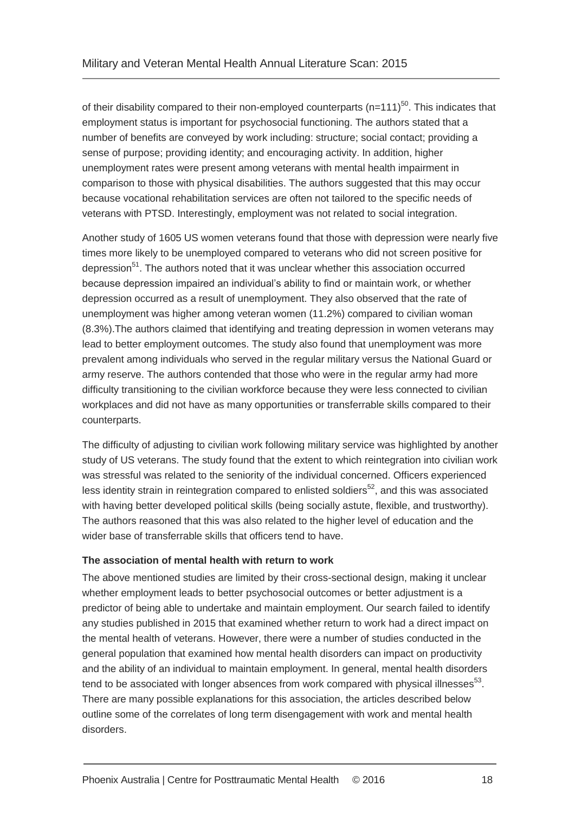of their disability compared to their non-employed counterparts ( $n=111$ )<sup>[50](#page-33-15)</sup>. This indicates that employment status is important for psychosocial functioning. The authors stated that a number of benefits are conveyed by work including: structure; social contact; providing a sense of purpose; providing identity; and encouraging activity. In addition, higher unemployment rates were present among veterans with mental health impairment in comparison to those with physical disabilities. The authors suggested that this may occur because vocational rehabilitation services are often not tailored to the specific needs of veterans with PTSD. Interestingly, employment was not related to social integration.

Another study of 1605 US women veterans found that those with depression were nearly five times more likely to be unemployed compared to veterans who did not screen positive for depression<sup>[51](#page-33-16)</sup>. The authors noted that it was unclear whether this association occurred because depression impaired an individual's ability to find or maintain work, or whether depression occurred as a result of unemployment. They also observed that the rate of unemployment was higher among veteran women (11.2%) compared to civilian woman (8.3%).The authors claimed that identifying and treating depression in women veterans may lead to better employment outcomes. The study also found that unemployment was more prevalent among individuals who served in the regular military versus the National Guard or army reserve. The authors contended that those who were in the regular army had more difficulty transitioning to the civilian workforce because they were less connected to civilian workplaces and did not have as many opportunities or transferrable skills compared to their counterparts.

The difficulty of adjusting to civilian work following military service was highlighted by another study of US veterans. The study found that the extent to which reintegration into civilian work was stressful was related to the seniority of the individual concerned. Officers experienced less identity strain in reintegration compared to enlisted soldiers<sup>[52](#page-33-17)</sup>, and this was associated with having better developed political skills (being socially astute, flexible, and trustworthy). The authors reasoned that this was also related to the higher level of education and the wider base of transferrable skills that officers tend to have.

### **The association of mental health with return to work**

The above mentioned studies are limited by their cross-sectional design, making it unclear whether employment leads to better psychosocial outcomes or better adjustment is a predictor of being able to undertake and maintain employment. Our search failed to identify any studies published in 2015 that examined whether return to work had a direct impact on the mental health of veterans. However, there were a number of studies conducted in the general population that examined how mental health disorders can impact on productivity and the ability of an individual to maintain employment. In general, mental health disorders tend to be associated with longer absences from work compared with physical illnesses $^{53}$  $^{53}$  $^{53}$ . There are many possible explanations for this association, the articles described below outline some of the correlates of long term disengagement with work and mental health disorders.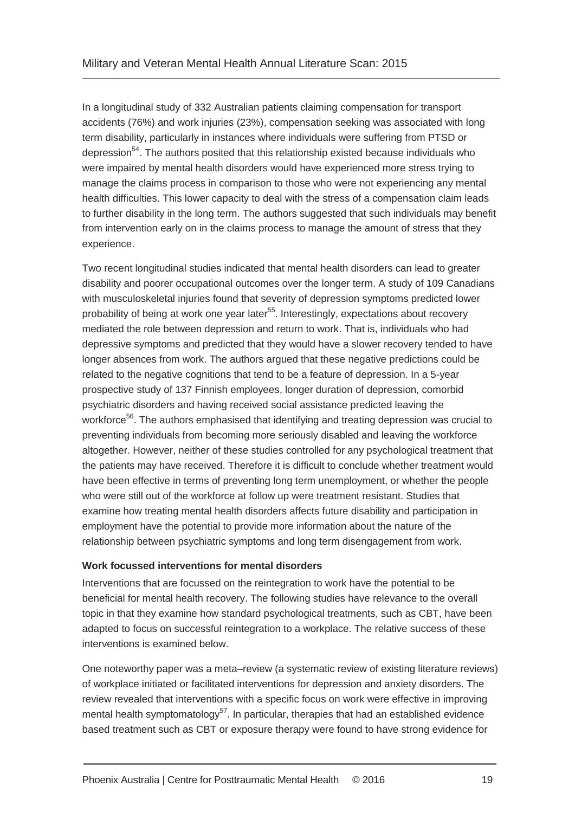In a longitudinal study of 332 Australian patients claiming compensation for transport accidents (76%) and work injuries (23%), compensation seeking was associated with long term disability, particularly in instances where individuals were suffering from PTSD or depression<sup>[54](#page-34-1)</sup>. The authors posited that this relationship existed because individuals who were impaired by mental health disorders would have experienced more stress trying to manage the claims process in comparison to those who were not experiencing any mental health difficulties. This lower capacity to deal with the stress of a compensation claim leads to further disability in the long term. The authors suggested that such individuals may benefit from intervention early on in the claims process to manage the amount of stress that they experience.

Two recent longitudinal studies indicated that mental health disorders can lead to greater disability and poorer occupational outcomes over the longer term. A study of 109 Canadians with musculoskeletal injuries found that severity of depression symptoms predicted lower probability of being at work one year later<sup>[55](#page-34-2)</sup>. Interestingly, expectations about recovery mediated the role between depression and return to work. That is, individuals who had depressive symptoms and predicted that they would have a slower recovery tended to have longer absences from work. The authors argued that these negative predictions could be related to the negative cognitions that tend to be a feature of depression. In a 5-year prospective study of 137 Finnish employees, longer duration of depression, comorbid psychiatric disorders and having received social assistance predicted leaving the workforce<sup>[56](#page-34-3)</sup>. The authors emphasised that identifying and treating depression was crucial to preventing individuals from becoming more seriously disabled and leaving the workforce altogether. However, neither of these studies controlled for any psychological treatment that the patients may have received. Therefore it is difficult to conclude whether treatment would have been effective in terms of preventing long term unemployment, or whether the people who were still out of the workforce at follow up were treatment resistant. Studies that examine how treating mental health disorders affects future disability and participation in employment have the potential to provide more information about the nature of the relationship between psychiatric symptoms and long term disengagement from work.

### **Work focussed interventions for mental disorders**

Interventions that are focussed on the reintegration to work have the potential to be beneficial for mental health recovery. The following studies have relevance to the overall topic in that they examine how standard psychological treatments, such as CBT, have been adapted to focus on successful reintegration to a workplace. The relative success of these interventions is examined below.

One noteworthy paper was a meta–review (a systematic review of existing literature reviews) of workplace initiated or facilitated interventions for depression and anxiety disorders. The review revealed that interventions with a specific focus on work were effective in improving mental health symptomatology<sup>[57](#page-34-4)</sup>. In particular, therapies that had an established evidence based treatment such as CBT or exposure therapy were found to have strong evidence for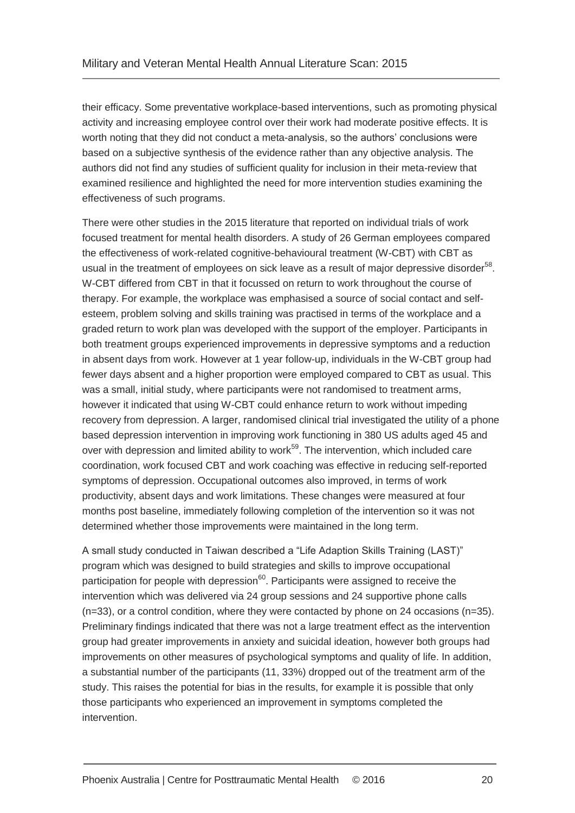their efficacy. Some preventative workplace-based interventions, such as promoting physical activity and increasing employee control over their work had moderate positive effects. It is worth noting that they did not conduct a meta-analysis, so the authors' conclusions were based on a subjective synthesis of the evidence rather than any objective analysis. The authors did not find any studies of sufficient quality for inclusion in their meta-review that examined resilience and highlighted the need for more intervention studies examining the effectiveness of such programs.

There were other studies in the 2015 literature that reported on individual trials of work focused treatment for mental health disorders. A study of 26 German employees compared the effectiveness of work-related cognitive-behavioural treatment (W-CBT) with CBT as usual in the treatment of employees on sick leave as a result of major depressive disorder<sup>[58](#page-34-5)</sup>. W-CBT differed from CBT in that it focussed on return to work throughout the course of therapy. For example, the workplace was emphasised a source of social contact and selfesteem, problem solving and skills training was practised in terms of the workplace and a graded return to work plan was developed with the support of the employer. Participants in both treatment groups experienced improvements in depressive symptoms and a reduction in absent days from work. However at 1 year follow-up, individuals in the W-CBT group had fewer days absent and a higher proportion were employed compared to CBT as usual. This was a small, initial study, where participants were not randomised to treatment arms, however it indicated that using W-CBT could enhance return to work without impeding recovery from depression. A larger, randomised clinical trial investigated the utility of a phone based depression intervention in improving work functioning in 380 US adults aged 45 and over with depression and limited ability to work<sup>[59](#page-34-6)</sup>. The intervention, which included care coordination, work focused CBT and work coaching was effective in reducing self-reported symptoms of depression. Occupational outcomes also improved, in terms of work productivity, absent days and work limitations. These changes were measured at four months post baseline, immediately following completion of the intervention so it was not determined whether those improvements were maintained in the long term.

A small study conducted in Taiwan described a "Life Adaption Skills Training (LAST)" program which was designed to build strategies and skills to improve occupational participation for people with depression $60$ . Participants were assigned to receive the intervention which was delivered via 24 group sessions and 24 supportive phone calls (n=33), or a control condition, where they were contacted by phone on 24 occasions (n=35). Preliminary findings indicated that there was not a large treatment effect as the intervention group had greater improvements in anxiety and suicidal ideation, however both groups had improvements on other measures of psychological symptoms and quality of life. In addition, a substantial number of the participants (11, 33%) dropped out of the treatment arm of the study. This raises the potential for bias in the results, for example it is possible that only those participants who experienced an improvement in symptoms completed the intervention.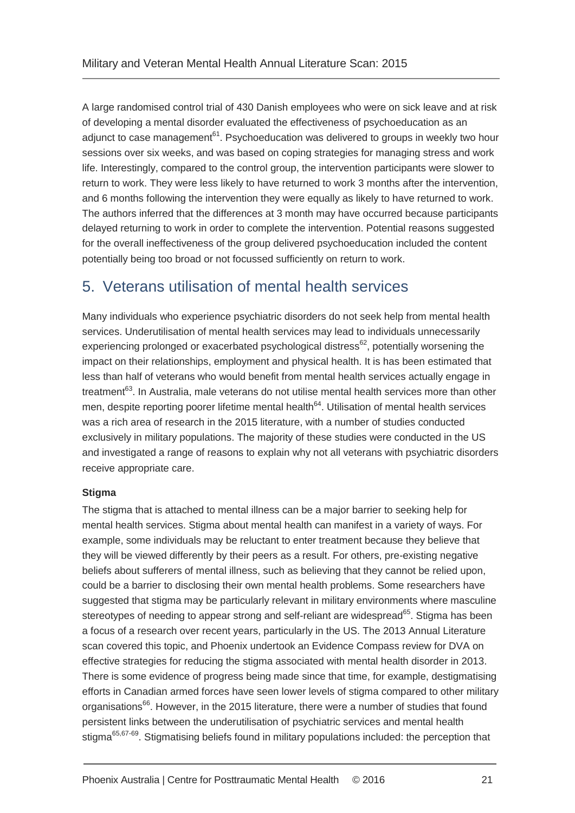A large randomised control trial of 430 Danish employees who were on sick leave and at risk of developing a mental disorder evaluated the effectiveness of psychoeducation as an adjunct to case management $61$ . Psychoeducation was delivered to groups in weekly two hour sessions over six weeks, and was based on coping strategies for managing stress and work life. Interestingly, compared to the control group, the intervention participants were slower to return to work. They were less likely to have returned to work 3 months after the intervention, and 6 months following the intervention they were equally as likely to have returned to work. The authors inferred that the differences at 3 month may have occurred because participants delayed returning to work in order to complete the intervention. Potential reasons suggested for the overall ineffectiveness of the group delivered psychoeducation included the content potentially being too broad or not focussed sufficiently on return to work.

### <span id="page-23-0"></span>5. Veterans utilisation of mental health services

Many individuals who experience psychiatric disorders do not seek help from mental health services. Underutilisation of mental health services may lead to individuals unnecessarily experiencing prolonged or exacerbated psychological distress<sup>[62](#page-34-9)</sup>, potentially worsening the impact on their relationships, employment and physical health. It is has been estimated that less than half of veterans who would benefit from mental health services actually engage in treatment<sup>[63](#page-34-10)</sup>. In Australia, male veterans do not utilise mental health services more than other men, despite reporting poorer lifetime mental health<sup>[64](#page-34-11)</sup>. Utilisation of mental health services was a rich area of research in the 2015 literature, with a number of studies conducted exclusively in military populations. The majority of these studies were conducted in the US and investigated a range of reasons to explain why not all veterans with psychiatric disorders receive appropriate care.

### **Stigma**

The stigma that is attached to mental illness can be a major barrier to seeking help for mental health services. Stigma about mental health can manifest in a variety of ways. For example, some individuals may be reluctant to enter treatment because they believe that they will be viewed differently by their peers as a result. For others, pre-existing negative beliefs about sufferers of mental illness, such as believing that they cannot be relied upon, could be a barrier to disclosing their own mental health problems. Some researchers have suggested that stigma may be particularly relevant in military environments where masculine stereotypes of needing to appear strong and self-reliant are widespread<sup>[65](#page-34-12)</sup>. Stigma has been a focus of a research over recent years, particularly in the US. The 2013 Annual Literature scan covered this topic, and Phoenix undertook an Evidence Compass review for DVA on effective strategies for reducing the stigma associated with mental health disorder in 2013. There is some evidence of progress being made since that time, for example, destigmatising efforts in Canadian armed forces have seen lower levels of stigma compared to other military organisations<sup>[66](#page-34-13)</sup>. However, in the 2015 literature, there were a number of studies that found persistent links between the underutilisation of psychiatric services and mental health stigma<sup>[65,](#page-34-12)[67-69](#page-34-14)</sup>. Stigmatising beliefs found in military populations included: the perception that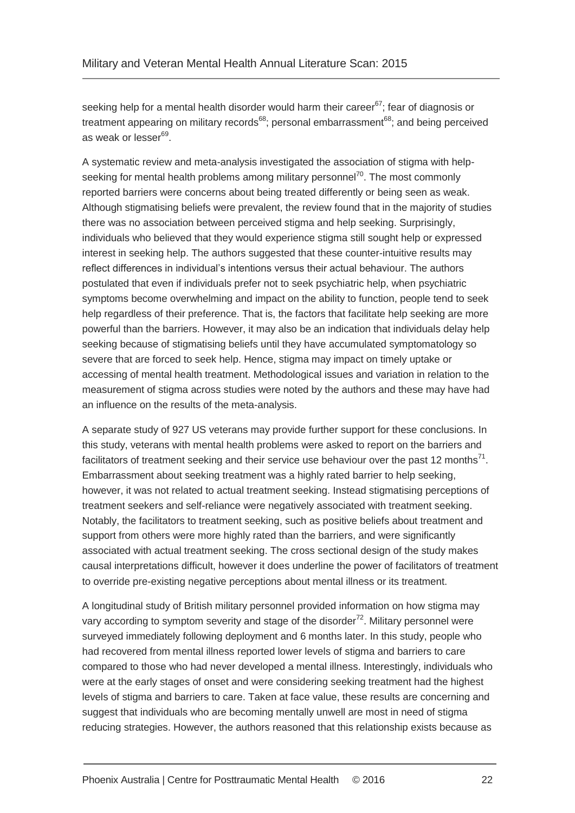seeking help for a mental health disorder would harm their career<sup>[67](#page-34-14)</sup>; fear of diagnosis or treatment appearing on military records<sup>[68](#page-35-0)</sup>; personal embarrassment<sup>68</sup>; and being perceived as weak or lesser<sup>[69](#page-35-1)</sup>.

A systematic review and meta-analysis investigated the association of stigma with help-seeking for mental health problems among military personnel<sup>[70](#page-35-2)</sup>. The most commonly reported barriers were concerns about being treated differently or being seen as weak. Although stigmatising beliefs were prevalent, the review found that in the majority of studies there was no association between perceived stigma and help seeking. Surprisingly, individuals who believed that they would experience stigma still sought help or expressed interest in seeking help. The authors suggested that these counter-intuitive results may reflect differences in individual's intentions versus their actual behaviour. The authors postulated that even if individuals prefer not to seek psychiatric help, when psychiatric symptoms become overwhelming and impact on the ability to function, people tend to seek help regardless of their preference. That is, the factors that facilitate help seeking are more powerful than the barriers. However, it may also be an indication that individuals delay help seeking because of stigmatising beliefs until they have accumulated symptomatology so severe that are forced to seek help. Hence, stigma may impact on timely uptake or accessing of mental health treatment. Methodological issues and variation in relation to the measurement of stigma across studies were noted by the authors and these may have had an influence on the results of the meta-analysis.

A separate study of 927 US veterans may provide further support for these conclusions. In this study, veterans with mental health problems were asked to report on the barriers and facilitators of treatment seeking and their service use behaviour over the past 12 months<sup>[71](#page-35-3)</sup>. Embarrassment about seeking treatment was a highly rated barrier to help seeking, however, it was not related to actual treatment seeking. Instead stigmatising perceptions of treatment seekers and self-reliance were negatively associated with treatment seeking. Notably, the facilitators to treatment seeking, such as positive beliefs about treatment and support from others were more highly rated than the barriers, and were significantly associated with actual treatment seeking. The cross sectional design of the study makes causal interpretations difficult, however it does underline the power of facilitators of treatment to override pre-existing negative perceptions about mental illness or its treatment.

A longitudinal study of British military personnel provided information on how stigma may vary according to symptom severity and stage of the disorder $72$ . Military personnel were surveyed immediately following deployment and 6 months later. In this study, people who had recovered from mental illness reported lower levels of stigma and barriers to care compared to those who had never developed a mental illness. Interestingly, individuals who were at the early stages of onset and were considering seeking treatment had the highest levels of stigma and barriers to care. Taken at face value, these results are concerning and suggest that individuals who are becoming mentally unwell are most in need of stigma reducing strategies. However, the authors reasoned that this relationship exists because as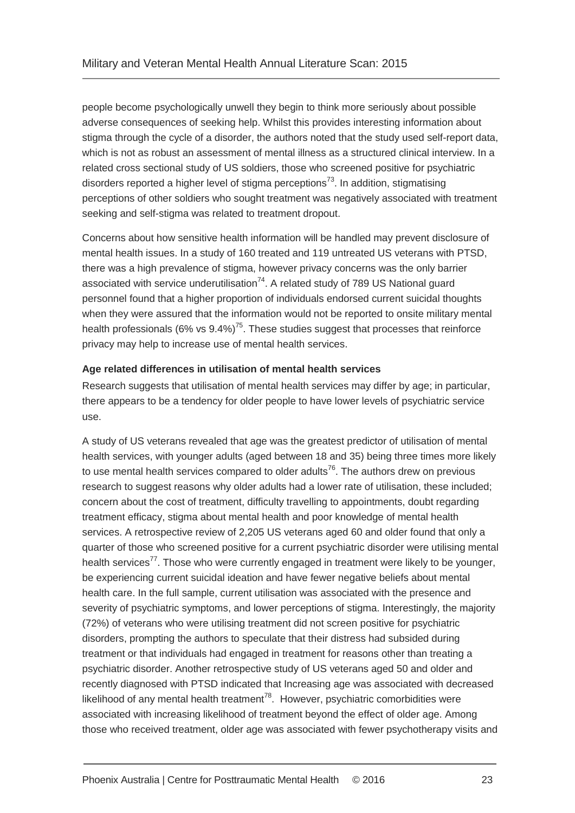people become psychologically unwell they begin to think more seriously about possible adverse consequences of seeking help. Whilst this provides interesting information about stigma through the cycle of a disorder, the authors noted that the study used self-report data, which is not as robust an assessment of mental illness as a structured clinical interview. In a related cross sectional study of US soldiers, those who screened positive for psychiatric disorders reported a higher level of stigma perceptions<sup>[73](#page-35-5)</sup>. In addition, stigmatising perceptions of other soldiers who sought treatment was negatively associated with treatment seeking and self-stigma was related to treatment dropout.

Concerns about how sensitive health information will be handled may prevent disclosure of mental health issues. In a study of 160 treated and 119 untreated US veterans with PTSD, there was a high prevalence of stigma, however privacy concerns was the only barrier associated with service underutilisation $74$ . A related study of 789 US National guard personnel found that a higher proportion of individuals endorsed current suicidal thoughts when they were assured that the information would not be reported to onsite military mental health professionals (6% vs  $9.4\%$ )<sup>[75](#page-35-7)</sup>. These studies suggest that processes that reinforce privacy may help to increase use of mental health services.

### **Age related differences in utilisation of mental health services**

Research suggests that utilisation of mental health services may differ by age; in particular, there appears to be a tendency for older people to have lower levels of psychiatric service use.

A study of US veterans revealed that age was the greatest predictor of utilisation of mental health services, with younger adults (aged between 18 and 35) being three times more likely to use mental health services compared to older adults<sup>[76](#page-35-8)</sup>. The authors drew on previous research to suggest reasons why older adults had a lower rate of utilisation, these included; concern about the cost of treatment, difficulty travelling to appointments, doubt regarding treatment efficacy, stigma about mental health and poor knowledge of mental health services. A retrospective review of 2,205 US veterans aged 60 and older found that only a quarter of those who screened positive for a current psychiatric disorder were utilising mental health services<sup>[77](#page-35-9)</sup>. Those who were currently engaged in treatment were likely to be younger, be experiencing current suicidal ideation and have fewer negative beliefs about mental health care. In the full sample, current utilisation was associated with the presence and severity of psychiatric symptoms, and lower perceptions of stigma. Interestingly, the majority (72%) of veterans who were utilising treatment did not screen positive for psychiatric disorders, prompting the authors to speculate that their distress had subsided during treatment or that individuals had engaged in treatment for reasons other than treating a psychiatric disorder. Another retrospective study of US veterans aged 50 and older and recently diagnosed with PTSD indicated that Increasing age was associated with decreased likelihood of any mental health treatment<sup>[78](#page-35-10)</sup>. However, psychiatric comorbidities were associated with increasing likelihood of treatment beyond the effect of older age. Among those who received treatment, older age was associated with fewer psychotherapy visits and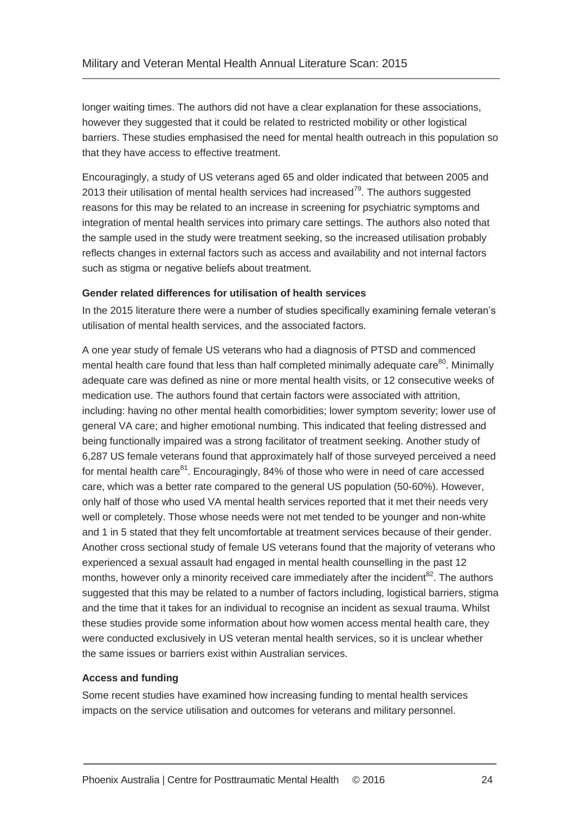longer waiting times. The authors did not have a clear explanation for these associations, however they suggested that it could be related to restricted mobility or other logistical barriers. These studies emphasised the need for mental health outreach in this population so that they have access to effective treatment.

Encouragingly, a study of US veterans aged 65 and older indicated that between 2005 and 2013 their utilisation of mental health services had increased<sup>[79](#page-35-11)</sup>. The authors suggested reasons for this may be related to an increase in screening for psychiatric symptoms and integration of mental health services into primary care settings. The authors also noted that the sample used in the study were treatment seeking, so the increased utilisation probably reflects changes in external factors such as access and availability and not internal factors such as stigma or negative beliefs about treatment.

### **Gender related differences for utilisation of health services**

In the 2015 literature there were a number of studies specifically examining female veteran's utilisation of mental health services, and the associated factors.

A one year study of female US veterans who had a diagnosis of PTSD and commenced mental health care found that less than half completed minimally adequate care<sup>[80](#page-35-12)</sup>. Minimally adequate care was defined as nine or more mental health visits, or 12 consecutive weeks of medication use. The authors found that certain factors were associated with attrition, including: having no other mental health comorbidities; lower symptom severity; lower use of general VA care; and higher emotional numbing. This indicated that feeling distressed and being functionally impaired was a strong facilitator of treatment seeking. Another study of 6,287 US female veterans found that approximately half of those surveyed perceived a need for mental health care<sup>[81](#page-35-13)</sup>. Encouragingly, 84% of those who were in need of care accessed care, which was a better rate compared to the general US population (50-60%). However, only half of those who used VA mental health services reported that it met their needs very well or completely. Those whose needs were not met tended to be younger and non-white and 1 in 5 stated that they felt uncomfortable at treatment services because of their gender. Another cross sectional study of female US veterans found that the majority of veterans who experienced a sexual assault had engaged in mental health counselling in the past 12 months, however only a minority received care immediately after the incident $^{82}$  $^{82}$  $^{82}$ . The authors suggested that this may be related to a number of factors including, logistical barriers, stigma and the time that it takes for an individual to recognise an incident as sexual trauma. Whilst these studies provide some information about how women access mental health care, they were conducted exclusively in US veteran mental health services, so it is unclear whether the same issues or barriers exist within Australian services.

### **Access and funding**

Some recent studies have examined how increasing funding to mental health services impacts on the service utilisation and outcomes for veterans and military personnel.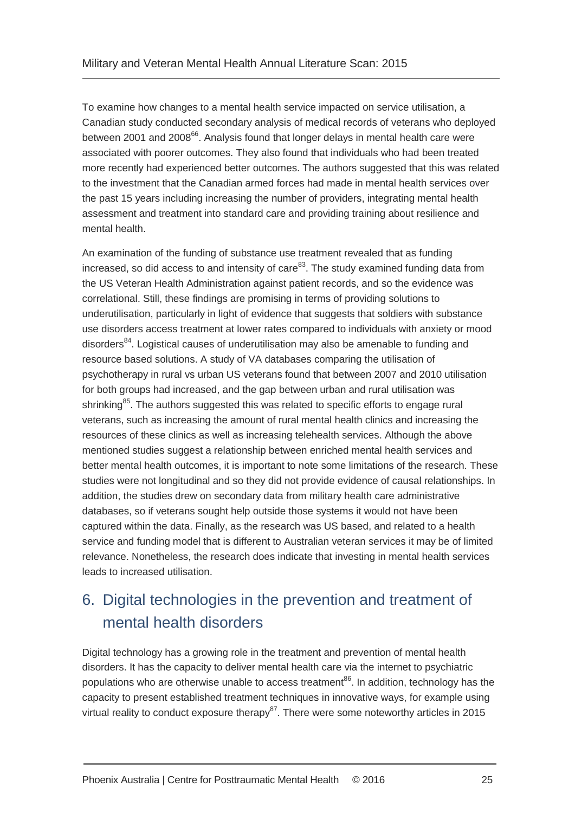To examine how changes to a mental health service impacted on service utilisation, a Canadian study conducted secondary analysis of medical records of veterans who deployed between 2001 and 2008<sup>[66](#page-34-13)</sup>. Analysis found that longer delays in mental health care were associated with poorer outcomes. They also found that individuals who had been treated more recently had experienced better outcomes. The authors suggested that this was related to the investment that the Canadian armed forces had made in mental health services over the past 15 years including increasing the number of providers, integrating mental health assessment and treatment into standard care and providing training about resilience and mental health.

An examination of the funding of substance use treatment revealed that as funding increased, so did access to and intensity of care $^{83}$  $^{83}$  $^{83}$ . The study examined funding data from the US Veteran Health Administration against patient records, and so the evidence was correlational. Still, these findings are promising in terms of providing solutions to underutilisation, particularly in light of evidence that suggests that soldiers with substance use disorders access treatment at lower rates compared to individuals with anxiety or mood disorders<sup>[84](#page-35-16)</sup>. Logistical causes of underutilisation may also be amenable to funding and resource based solutions. A study of VA databases comparing the utilisation of psychotherapy in rural vs urban US veterans found that between 2007 and 2010 utilisation for both groups had increased, and the gap between urban and rural utilisation was shrinking<sup>[85](#page-36-0)</sup>. The authors suggested this was related to specific efforts to engage rural veterans, such as increasing the amount of rural mental health clinics and increasing the resources of these clinics as well as increasing telehealth services. Although the above mentioned studies suggest a relationship between enriched mental health services and better mental health outcomes, it is important to note some limitations of the research. These studies were not longitudinal and so they did not provide evidence of causal relationships. In addition, the studies drew on secondary data from military health care administrative databases, so if veterans sought help outside those systems it would not have been captured within the data. Finally, as the research was US based, and related to a health service and funding model that is different to Australian veteran services it may be of limited relevance. Nonetheless, the research does indicate that investing in mental health services leads to increased utilisation.

### <span id="page-27-0"></span>6. Digital technologies in the prevention and treatment of mental health disorders

Digital technology has a growing role in the treatment and prevention of mental health disorders. It has the capacity to deliver mental health care via the internet to psychiatric populations who are otherwise unable to access treatment<sup>[86](#page-36-1)</sup>. In addition, technology has the capacity to present established treatment techniques in innovative ways, for example using virtual reality to conduct exposure therapy<sup>[87](#page-36-2)</sup>. There were some noteworthy articles in 2015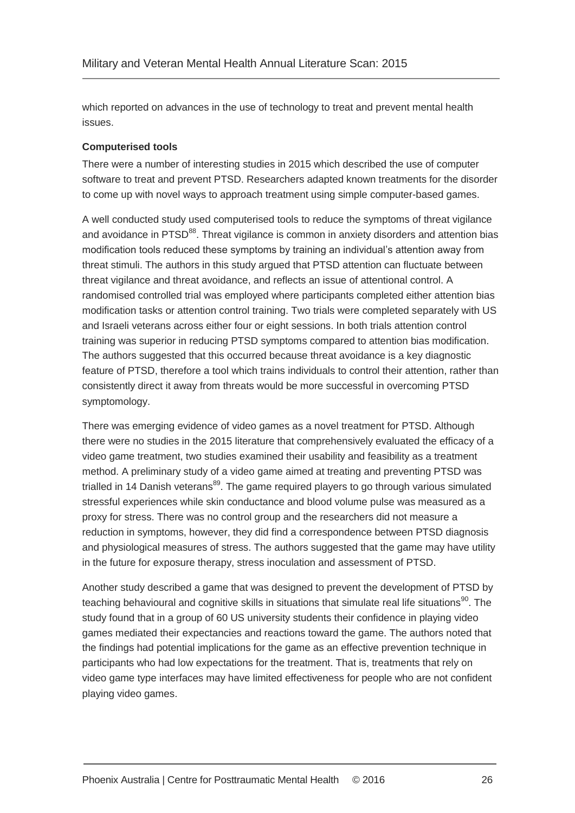which reported on advances in the use of technology to treat and prevent mental health issues.

### **Computerised tools**

There were a number of interesting studies in 2015 which described the use of computer software to treat and prevent PTSD. Researchers adapted known treatments for the disorder to come up with novel ways to approach treatment using simple computer-based games.

A well conducted study used computerised tools to reduce the symptoms of threat vigilance and avoidance in PTSD<sup>[88](#page-36-3)</sup>. Threat vigilance is common in anxiety disorders and attention bias modification tools reduced these symptoms by training an individual's attention away from threat stimuli. The authors in this study argued that PTSD attention can fluctuate between threat vigilance and threat avoidance, and reflects an issue of attentional control. A randomised controlled trial was employed where participants completed either attention bias modification tasks or attention control training. Two trials were completed separately with US and Israeli veterans across either four or eight sessions. In both trials attention control training was superior in reducing PTSD symptoms compared to attention bias modification. The authors suggested that this occurred because threat avoidance is a key diagnostic feature of PTSD, therefore a tool which trains individuals to control their attention, rather than consistently direct it away from threats would be more successful in overcoming PTSD symptomology.

There was emerging evidence of video games as a novel treatment for PTSD. Although there were no studies in the 2015 literature that comprehensively evaluated the efficacy of a video game treatment, two studies examined their usability and feasibility as a treatment method. A preliminary study of a video game aimed at treating and preventing PTSD was trialled in 14 Danish veterans<sup>[89](#page-36-4)</sup>. The game required players to go through various simulated stressful experiences while skin conductance and blood volume pulse was measured as a proxy for stress. There was no control group and the researchers did not measure a reduction in symptoms, however, they did find a correspondence between PTSD diagnosis and physiological measures of stress. The authors suggested that the game may have utility in the future for exposure therapy, stress inoculation and assessment of PTSD.

Another study described a game that was designed to prevent the development of PTSD by teaching behavioural and cognitive skills in situations that simulate real life situations<sup>[90](#page-36-5)</sup>. The study found that in a group of 60 US university students their confidence in playing video games mediated their expectancies and reactions toward the game. The authors noted that the findings had potential implications for the game as an effective prevention technique in participants who had low expectations for the treatment. That is, treatments that rely on video game type interfaces may have limited effectiveness for people who are not confident playing video games.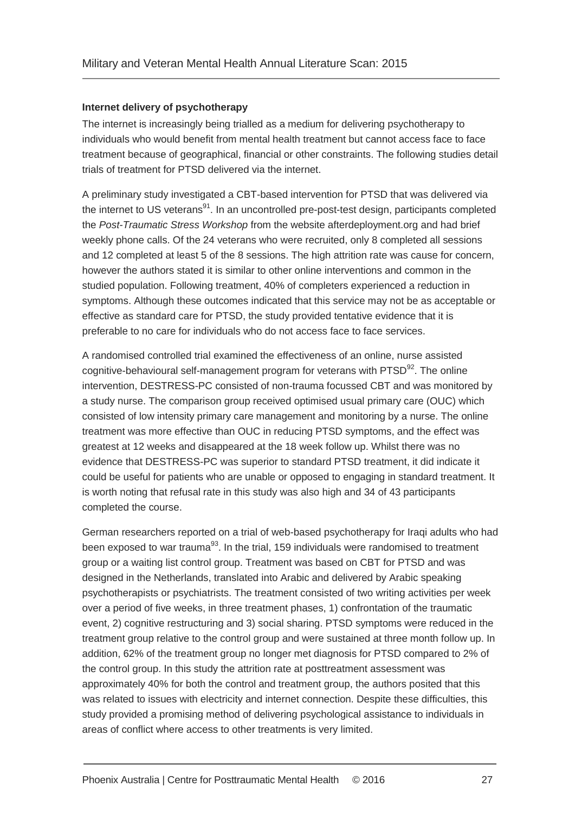### **Internet delivery of psychotherapy**

The internet is increasingly being trialled as a medium for delivering psychotherapy to individuals who would benefit from mental health treatment but cannot access face to face treatment because of geographical, financial or other constraints. The following studies detail trials of treatment for PTSD delivered via the internet.

A preliminary study investigated a CBT-based intervention for PTSD that was delivered via the internet to US veterans<sup>[91](#page-36-6)</sup>. In an uncontrolled pre-post-test design, participants completed the *Post-Traumatic Stress Workshop* from the website afterdeployment.org and had brief weekly phone calls. Of the 24 veterans who were recruited, only 8 completed all sessions and 12 completed at least 5 of the 8 sessions. The high attrition rate was cause for concern, however the authors stated it is similar to other online interventions and common in the studied population. Following treatment, 40% of completers experienced a reduction in symptoms. Although these outcomes indicated that this service may not be as acceptable or effective as standard care for PTSD, the study provided tentative evidence that it is preferable to no care for individuals who do not access face to face services.

A randomised controlled trial examined the effectiveness of an online, nurse assisted cognitive-behavioural self-management program for veterans with PTSD<sup>[92](#page-36-7)</sup>. The online intervention, DESTRESS-PC consisted of non-trauma focussed CBT and was monitored by a study nurse. The comparison group received optimised usual primary care (OUC) which consisted of low intensity primary care management and monitoring by a nurse. The online treatment was more effective than OUC in reducing PTSD symptoms, and the effect was greatest at 12 weeks and disappeared at the 18 week follow up. Whilst there was no evidence that DESTRESS-PC was superior to standard PTSD treatment, it did indicate it could be useful for patients who are unable or opposed to engaging in standard treatment. It is worth noting that refusal rate in this study was also high and 34 of 43 participants completed the course.

German researchers reported on a trial of web-based psychotherapy for Iraqi adults who had been exposed to war trauma<sup>[93](#page-36-8)</sup>. In the trial, 159 individuals were randomised to treatment group or a waiting list control group. Treatment was based on CBT for PTSD and was designed in the Netherlands, translated into Arabic and delivered by Arabic speaking psychotherapists or psychiatrists. The treatment consisted of two writing activities per week over a period of five weeks, in three treatment phases, 1) confrontation of the traumatic event, 2) cognitive restructuring and 3) social sharing. PTSD symptoms were reduced in the treatment group relative to the control group and were sustained at three month follow up. In addition, 62% of the treatment group no longer met diagnosis for PTSD compared to 2% of the control group. In this study the attrition rate at posttreatment assessment was approximately 40% for both the control and treatment group, the authors posited that this was related to issues with electricity and internet connection. Despite these difficulties, this study provided a promising method of delivering psychological assistance to individuals in areas of conflict where access to other treatments is very limited.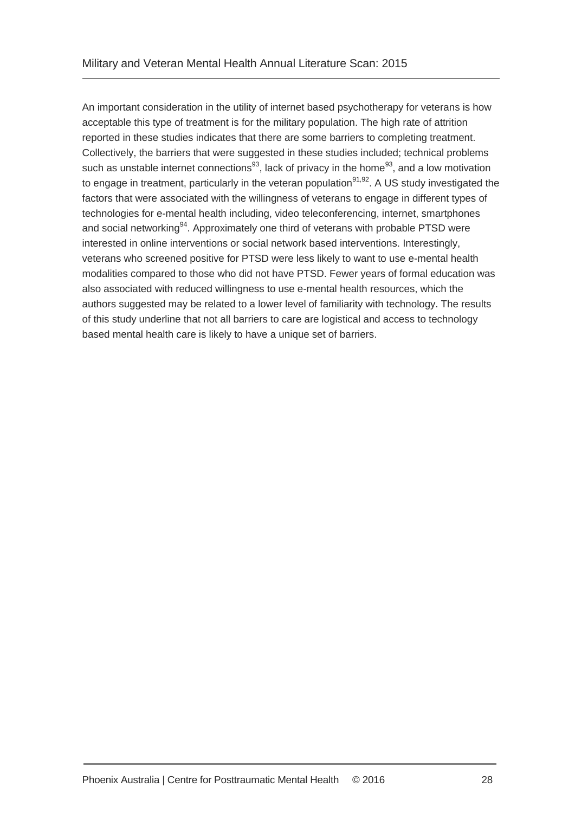An important consideration in the utility of internet based psychotherapy for veterans is how acceptable this type of treatment is for the military population. The high rate of attrition reported in these studies indicates that there are some barriers to completing treatment. Collectively, the barriers that were suggested in these studies included; technical problems such as unstable internet connections<sup>[93](#page-36-8)</sup>, lack of privacy in the home<sup>93</sup>, and a low motivation to engage in treatment, particularly in the veteran population<sup>[91,](#page-36-6)[92](#page-36-7)</sup>. A US study investigated the factors that were associated with the willingness of veterans to engage in different types of technologies for e-mental health including, video teleconferencing, internet, smartphones and social networking<sup>[94](#page-36-9)</sup>. Approximately one third of veterans with probable PTSD were interested in online interventions or social network based interventions. Interestingly, veterans who screened positive for PTSD were less likely to want to use e-mental health modalities compared to those who did not have PTSD. Fewer years of formal education was also associated with reduced willingness to use e-mental health resources, which the authors suggested may be related to a lower level of familiarity with technology. The results of this study underline that not all barriers to care are logistical and access to technology based mental health care is likely to have a unique set of barriers.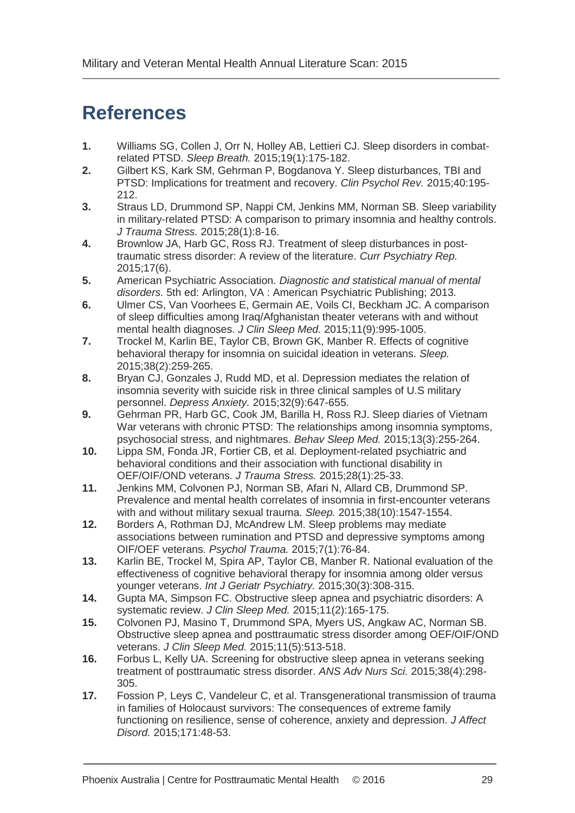## <span id="page-31-0"></span>**References**

- <span id="page-31-1"></span>**1.** Williams SG, Collen J, Orr N, Holley AB, Lettieri CJ. Sleep disorders in combatrelated PTSD. *Sleep Breath.* 2015;19(1):175-182.
- <span id="page-31-2"></span>**2.** Gilbert KS, Kark SM, Gehrman P, Bogdanova Y. Sleep disturbances, TBI and PTSD: Implications for treatment and recovery. *Clin Psychol Rev.* 2015;40:195- 212.
- <span id="page-31-3"></span>**3.** Straus LD, Drummond SP, Nappi CM, Jenkins MM, Norman SB. Sleep variability in military-related PTSD: A comparison to primary insomnia and healthy controls. *J Trauma Stress.* 2015;28(1):8-16.
- <span id="page-31-4"></span>**4.** Brownlow JA, Harb GC, Ross RJ. Treatment of sleep disturbances in posttraumatic stress disorder: A review of the literature. *Curr Psychiatry Rep.*  2015;17(6).
- <span id="page-31-5"></span>**5.** American Psychiatric Association. *Diagnostic and statistical manual of mental disorders.* 5th ed: Arlington, VA : American Psychiatric Publishing; 2013.
- <span id="page-31-6"></span>**6.** Ulmer CS, Van Voorhees E, Germain AE, Voils CI, Beckham JC. A comparison of sleep difficulties among Iraq/Afghanistan theater veterans with and without mental health diagnoses. *J Clin Sleep Med.* 2015;11(9):995-1005.
- <span id="page-31-7"></span>**7.** Trockel M, Karlin BE, Taylor CB, Brown GK, Manber R. Effects of cognitive behavioral therapy for insomnia on suicidal ideation in veterans. *Sleep.*  2015;38(2):259-265.
- <span id="page-31-8"></span>**8.** Bryan CJ, Gonzales J, Rudd MD, et al. Depression mediates the relation of insomnia severity with suicide risk in three clinical samples of U.S military personnel. *Depress Anxiety.* 2015;32(9):647-655.
- <span id="page-31-9"></span>**9.** Gehrman PR, Harb GC, Cook JM, Barilla H, Ross RJ. Sleep diaries of Vietnam War veterans with chronic PTSD: The relationships among insomnia symptoms, psychosocial stress, and nightmares. *Behav Sleep Med.* 2015;13(3):255-264.
- **10.** Lippa SM, Fonda JR, Fortier CB, et al. Deployment-related psychiatric and behavioral conditions and their association with functional disability in OEF/OIF/OND veterans. *J Trauma Stress.* 2015;28(1):25-33.
- **11.** Jenkins MM, Colvonen PJ, Norman SB, Afari N, Allard CB, Drummond SP. Prevalence and mental health correlates of insomnia in first-encounter veterans with and without military sexual trauma. *Sleep.* 2015;38(10):1547-1554.
- <span id="page-31-10"></span>**12.** Borders A, Rothman DJ, McAndrew LM. Sleep problems may mediate associations between rumination and PTSD and depressive symptoms among OIF/OEF veterans. *Psychol Trauma.* 2015;7(1):76-84.
- <span id="page-31-11"></span>**13.** Karlin BE, Trockel M, Spira AP, Taylor CB, Manber R. National evaluation of the effectiveness of cognitive behavioral therapy for insomnia among older versus younger veterans. *Int J Geriatr Psychiatry.* 2015;30(3):308-315.
- <span id="page-31-12"></span>**14.** Gupta MA, Simpson FC. Obstructive sleep apnea and psychiatric disorders: A systematic review. *J Clin Sleep Med.* 2015;11(2):165-175.
- <span id="page-31-13"></span>**15.** Colvonen PJ, Masino T, Drummond SPA, Myers US, Angkaw AC, Norman SB. Obstructive sleep apnea and posttraumatic stress disorder among OEF/OIF/OND veterans. *J Clin Sleep Med.* 2015;11(5):513-518.
- <span id="page-31-14"></span>**16.** Forbus L, Kelly UA. Screening for obstructive sleep apnea in veterans seeking treatment of posttraumatic stress disorder. *ANS Adv Nurs Sci.* 2015;38(4):298- 305.
- <span id="page-31-15"></span>**17.** Fossion P, Leys C, Vandeleur C, et al. Transgenerational transmission of trauma in families of Holocaust survivors: The consequences of extreme family functioning on resilience, sense of coherence, anxiety and depression. *J Affect Disord.* 2015;171:48-53.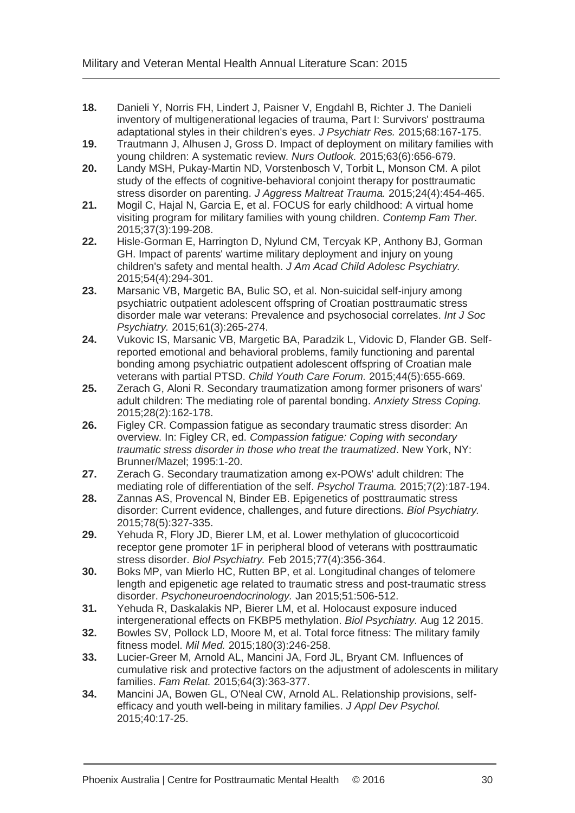- <span id="page-32-0"></span>**18.** Danieli Y, Norris FH, Lindert J, Paisner V, Engdahl B, Richter J. The Danieli inventory of multigenerational legacies of trauma, Part I: Survivors' posttrauma adaptational styles in their children's eyes. *J Psychiatr Res.* 2015;68:167-175.
- <span id="page-32-1"></span>**19.** Trautmann J, Alhusen J, Gross D. Impact of deployment on military families with young children: A systematic review. *Nurs Outlook.* 2015;63(6):656-679.
- <span id="page-32-2"></span>**20.** Landy MSH, Pukay-Martin ND, Vorstenbosch V, Torbit L, Monson CM. A pilot study of the effects of cognitive-behavioral conjoint therapy for posttraumatic stress disorder on parenting. *J Aggress Maltreat Trauma.* 2015;24(4):454-465.
- <span id="page-32-3"></span>**21.** Mogil C, Hajal N, Garcia E, et al. FOCUS for early childhood: A virtual home visiting program for military families with young children. *Contemp Fam Ther.*  2015;37(3):199-208.
- <span id="page-32-4"></span>**22.** Hisle-Gorman E, Harrington D, Nylund CM, Tercyak KP, Anthony BJ, Gorman GH. Impact of parents' wartime military deployment and injury on young children's safety and mental health. *J Am Acad Child Adolesc Psychiatry.*  2015;54(4):294-301.
- <span id="page-32-5"></span>**23.** Marsanic VB, Margetic BA, Bulic SO, et al. Non-suicidal self-injury among psychiatric outpatient adolescent offspring of Croatian posttraumatic stress disorder male war veterans: Prevalence and psychosocial correlates. *Int J Soc Psychiatry.* 2015;61(3):265-274.
- <span id="page-32-6"></span>**24.** Vukovic IS, Marsanic VB, Margetic BA, Paradzik L, Vidovic D, Flander GB. Selfreported emotional and behavioral problems, family functioning and parental bonding among psychiatric outpatient adolescent offspring of Croatian male veterans with partial PTSD. *Child Youth Care Forum.* 2015;44(5):655-669.
- <span id="page-32-7"></span>**25.** Zerach G, Aloni R. Secondary traumatization among former prisoners of wars' adult children: The mediating role of parental bonding. *Anxiety Stress Coping.*  2015;28(2):162-178.
- <span id="page-32-8"></span>**26.** Figley CR. Compassion fatigue as secondary traumatic stress disorder: An overview. In: Figley CR, ed. *Compassion fatigue: Coping with secondary traumatic stress disorder in those who treat the traumatized*. New York, NY: Brunner/Mazel; 1995:1-20.
- <span id="page-32-9"></span>**27.** Zerach G. Secondary traumatization among ex-POWs' adult children: The mediating role of differentiation of the self. *Psychol Trauma.* 2015;7(2):187-194.
- <span id="page-32-10"></span>**28.** Zannas AS, Provencal N, Binder EB. Epigenetics of posttraumatic stress disorder: Current evidence, challenges, and future directions. *Biol Psychiatry.*  2015;78(5):327-335.
- <span id="page-32-11"></span>**29.** Yehuda R, Flory JD, Bierer LM, et al. Lower methylation of glucocorticoid receptor gene promoter 1F in peripheral blood of veterans with posttraumatic stress disorder. *Biol Psychiatry.* Feb 2015;77(4):356-364.
- <span id="page-32-12"></span>**30.** Boks MP, van Mierlo HC, Rutten BP, et al. Longitudinal changes of telomere length and epigenetic age related to traumatic stress and post-traumatic stress disorder. *Psychoneuroendocrinology.* Jan 2015;51:506-512.
- <span id="page-32-13"></span>**31.** Yehuda R, Daskalakis NP, Bierer LM, et al. Holocaust exposure induced intergenerational effects on FKBP5 methylation. *Biol Psychiatry.* Aug 12 2015.
- <span id="page-32-14"></span>**32.** Bowles SV, Pollock LD, Moore M, et al. Total force fitness: The military family fitness model. *Mil Med.* 2015;180(3):246-258.
- <span id="page-32-15"></span>**33.** Lucier-Greer M, Arnold AL, Mancini JA, Ford JL, Bryant CM. Influences of cumulative risk and protective factors on the adjustment of adolescents in military families. *Fam Relat.* 2015;64(3):363-377.
- <span id="page-32-16"></span>**34.** Mancini JA, Bowen GL, O'Neal CW, Arnold AL. Relationship provisions, selfefficacy and youth well-being in military families. *J Appl Dev Psychol.*  2015;40:17-25.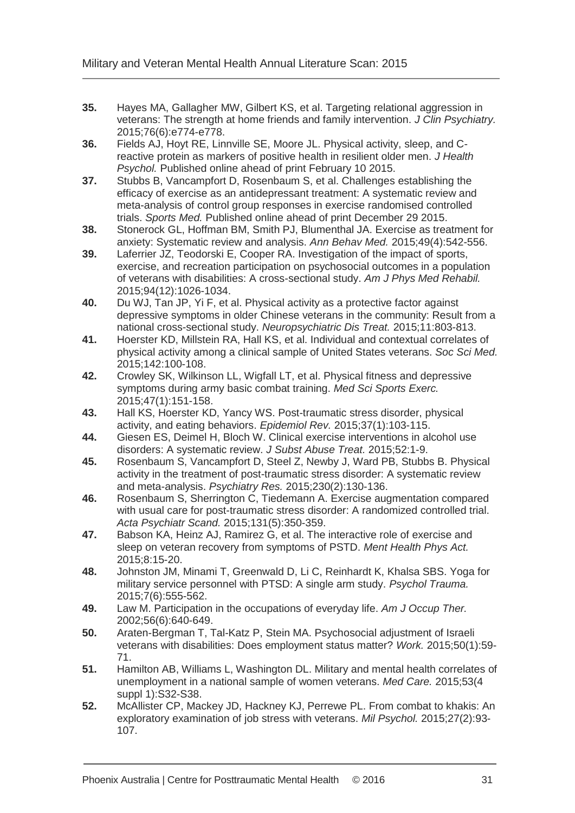- <span id="page-33-0"></span>**35.** Hayes MA, Gallagher MW, Gilbert KS, et al. Targeting relational aggression in veterans: The strength at home friends and family intervention. *J Clin Psychiatry.*  2015;76(6):e774-e778.
- <span id="page-33-1"></span>**36.** Fields AJ, Hoyt RE, Linnville SE, Moore JL. Physical activity, sleep, and Creactive protein as markers of positive health in resilient older men. *J Health Psychol.* Published online ahead of print February 10 2015.
- <span id="page-33-2"></span>**37.** Stubbs B, Vancampfort D, Rosenbaum S, et al. Challenges establishing the efficacy of exercise as an antidepressant treatment: A systematic review and meta-analysis of control group responses in exercise randomised controlled trials. *Sports Med.* Published online ahead of print December 29 2015.
- <span id="page-33-3"></span>**38.** Stonerock GL, Hoffman BM, Smith PJ, Blumenthal JA. Exercise as treatment for anxiety: Systematic review and analysis. *Ann Behav Med.* 2015;49(4):542-556.
- <span id="page-33-4"></span>**39.** Laferrier JZ, Teodorski E, Cooper RA. Investigation of the impact of sports, exercise, and recreation participation on psychosocial outcomes in a population of veterans with disabilities: A cross-sectional study. *Am J Phys Med Rehabil.*  2015;94(12):1026-1034.
- <span id="page-33-5"></span>**40.** Du WJ, Tan JP, Yi F, et al. Physical activity as a protective factor against depressive symptoms in older Chinese veterans in the community: Result from a national cross-sectional study. *Neuropsychiatric Dis Treat.* 2015;11:803-813.
- <span id="page-33-6"></span>**41.** Hoerster KD, Millstein RA, Hall KS, et al. Individual and contextual correlates of physical activity among a clinical sample of United States veterans. *Soc Sci Med.*  2015;142:100-108.
- <span id="page-33-7"></span>**42.** Crowley SK, Wilkinson LL, Wigfall LT, et al. Physical fitness and depressive symptoms during army basic combat training. *Med Sci Sports Exerc.*  2015;47(1):151-158.
- <span id="page-33-8"></span>**43.** Hall KS, Hoerster KD, Yancy WS. Post-traumatic stress disorder, physical activity, and eating behaviors. *Epidemiol Rev.* 2015;37(1):103-115.
- <span id="page-33-9"></span>**44.** Giesen ES, Deimel H, Bloch W. Clinical exercise interventions in alcohol use disorders: A systematic review. *J Subst Abuse Treat.* 2015;52:1-9.
- <span id="page-33-10"></span>**45.** Rosenbaum S, Vancampfort D, Steel Z, Newby J, Ward PB, Stubbs B. Physical activity in the treatment of post-traumatic stress disorder: A systematic review and meta-analysis. *Psychiatry Res.* 2015;230(2):130-136.
- <span id="page-33-11"></span>**46.** Rosenbaum S, Sherrington C, Tiedemann A. Exercise augmentation compared with usual care for post-traumatic stress disorder: A randomized controlled trial. *Acta Psychiatr Scand.* 2015;131(5):350-359.
- <span id="page-33-12"></span>**47.** Babson KA, Heinz AJ, Ramirez G, et al. The interactive role of exercise and sleep on veteran recovery from symptoms of PSTD. *Ment Health Phys Act.*  2015;8:15-20.
- <span id="page-33-13"></span>**48.** Johnston JM, Minami T, Greenwald D, Li C, Reinhardt K, Khalsa SBS. Yoga for military service personnel with PTSD: A single arm study. *Psychol Trauma.*  2015;7(6):555-562.
- <span id="page-33-14"></span>**49.** Law M. Participation in the occupations of everyday life. *Am J Occup Ther.*  2002;56(6):640-649.
- <span id="page-33-15"></span>**50.** Araten-Bergman T, Tal-Katz P, Stein MA. Psychosocial adjustment of Israeli veterans with disabilities: Does employment status matter? *Work.* 2015;50(1):59- 71.
- <span id="page-33-16"></span>**51.** Hamilton AB, Williams L, Washington DL. Military and mental health correlates of unemployment in a national sample of women veterans. *Med Care.* 2015;53(4 suppl 1):S32-S38.
- <span id="page-33-17"></span>**52.** McAllister CP, Mackey JD, Hackney KJ, Perrewe PL. From combat to khakis: An exploratory examination of job stress with veterans. *Mil Psychol.* 2015;27(2):93- 107.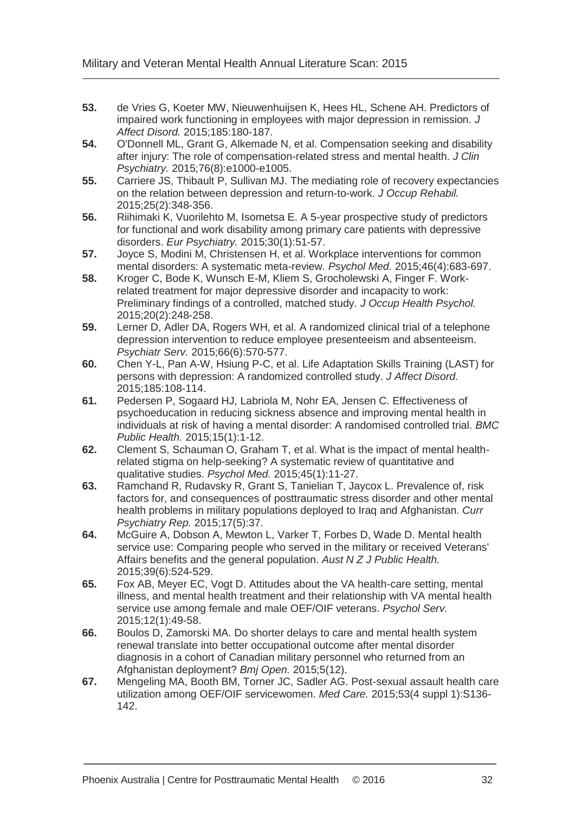- <span id="page-34-0"></span>**53.** de Vries G, Koeter MW, Nieuwenhuijsen K, Hees HL, Schene AH. Predictors of impaired work functioning in employees with major depression in remission. *J Affect Disord.* 2015;185:180-187.
- <span id="page-34-1"></span>**54.** O'Donnell ML, Grant G, Alkemade N, et al. Compensation seeking and disability after injury: The role of compensation-related stress and mental health. *J Clin Psychiatry.* 2015;76(8):e1000-e1005.
- <span id="page-34-2"></span>**55.** Carriere JS, Thibault P, Sullivan MJ. The mediating role of recovery expectancies on the relation between depression and return-to-work. *J Occup Rehabil.*  2015;25(2):348-356.
- <span id="page-34-3"></span>**56.** Riihimaki K, Vuorilehto M, Isometsa E. A 5-year prospective study of predictors for functional and work disability among primary care patients with depressive disorders. *Eur Psychiatry.* 2015;30(1):51-57.
- <span id="page-34-4"></span>**57.** Joyce S, Modini M, Christensen H, et al. Workplace interventions for common mental disorders: A systematic meta-review. *Psychol Med.* 2015;46(4):683-697.
- <span id="page-34-5"></span>**58.** Kroger C, Bode K, Wunsch E-M, Kliem S, Grocholewski A, Finger F. Workrelated treatment for major depressive disorder and incapacity to work: Preliminary findings of a controlled, matched study. *J Occup Health Psychol.*  2015;20(2):248-258.
- <span id="page-34-6"></span>**59.** Lerner D, Adler DA, Rogers WH, et al. A randomized clinical trial of a telephone depression intervention to reduce employee presenteeism and absenteeism. *Psychiatr Serv.* 2015;66(6):570-577.
- <span id="page-34-7"></span>**60.** Chen Y-L, Pan A-W, Hsiung P-C, et al. Life Adaptation Skills Training (LAST) for persons with depression: A randomized controlled study. *J Affect Disord.*  2015;185:108-114.
- <span id="page-34-8"></span>**61.** Pedersen P, Sogaard HJ, Labriola M, Nohr EA, Jensen C. Effectiveness of psychoeducation in reducing sickness absence and improving mental health in individuals at risk of having a mental disorder: A randomised controlled trial. *BMC Public Health.* 2015;15(1):1-12.
- <span id="page-34-9"></span>**62.** Clement S, Schauman O, Graham T, et al. What is the impact of mental healthrelated stigma on help-seeking? A systematic review of quantitative and qualitative studies. *Psychol Med.* 2015;45(1):11-27.
- <span id="page-34-10"></span>**63.** Ramchand R, Rudavsky R, Grant S, Tanielian T, Jaycox L. Prevalence of, risk factors for, and consequences of posttraumatic stress disorder and other mental health problems in military populations deployed to Iraq and Afghanistan. *Curr Psychiatry Rep.* 2015;17(5):37.
- <span id="page-34-11"></span>**64.** McGuire A, Dobson A, Mewton L, Varker T, Forbes D, Wade D. Mental health service use: Comparing people who served in the military or received Veterans' Affairs benefits and the general population. *Aust N Z J Public Health.*  2015;39(6):524-529.
- <span id="page-34-12"></span>**65.** Fox AB, Meyer EC, Vogt D. Attitudes about the VA health-care setting, mental illness, and mental health treatment and their relationship with VA mental health service use among female and male OEF/OIF veterans. *Psychol Serv.*  2015;12(1):49-58.
- <span id="page-34-13"></span>**66.** Boulos D, Zamorski MA. Do shorter delays to care and mental health system renewal translate into better occupational outcome after mental disorder diagnosis in a cohort of Canadian military personnel who returned from an Afghanistan deployment? *Bmj Open.* 2015;5(12).
- <span id="page-34-14"></span>**67.** Mengeling MA, Booth BM, Torner JC, Sadler AG. Post-sexual assault health care utilization among OEF/OIF servicewomen. *Med Care.* 2015;53(4 suppl 1):S136- 142.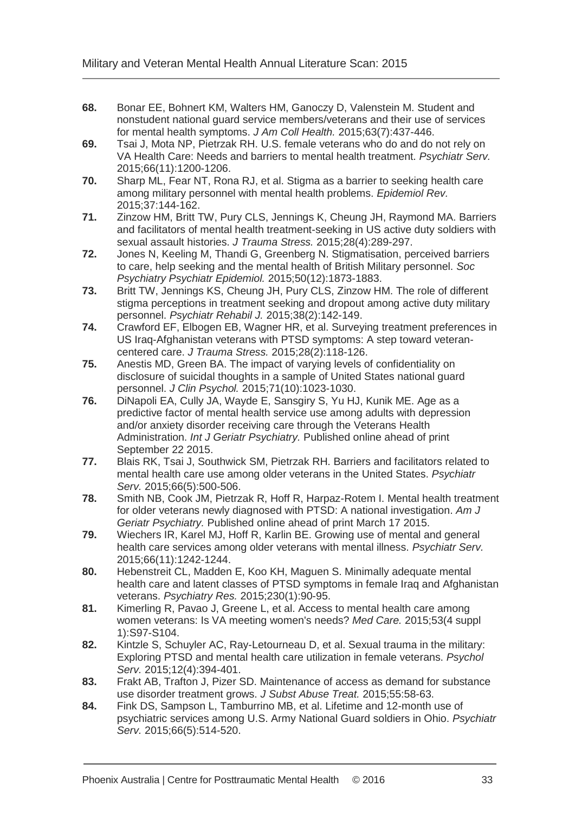- <span id="page-35-0"></span>**68.** Bonar EE, Bohnert KM, Walters HM, Ganoczy D, Valenstein M. Student and nonstudent national guard service members/veterans and their use of services for mental health symptoms. *J Am Coll Health.* 2015;63(7):437-446.
- <span id="page-35-1"></span>**69.** Tsai J, Mota NP, Pietrzak RH. U.S. female veterans who do and do not rely on VA Health Care: Needs and barriers to mental health treatment. *Psychiatr Serv.*  2015;66(11):1200-1206.
- <span id="page-35-2"></span>**70.** Sharp ML, Fear NT, Rona RJ, et al. Stigma as a barrier to seeking health care among military personnel with mental health problems. *Epidemiol Rev.*  2015;37:144-162.
- <span id="page-35-3"></span>**71.** Zinzow HM, Britt TW, Pury CLS, Jennings K, Cheung JH, Raymond MA. Barriers and facilitators of mental health treatment-seeking in US active duty soldiers with sexual assault histories. *J Trauma Stress.* 2015;28(4):289-297.
- <span id="page-35-4"></span>**72.** Jones N, Keeling M, Thandi G, Greenberg N. Stigmatisation, perceived barriers to care, help seeking and the mental health of British Military personnel. *Soc Psychiatry Psychiatr Epidemiol.* 2015;50(12):1873-1883.
- <span id="page-35-5"></span>**73.** Britt TW, Jennings KS, Cheung JH, Pury CLS, Zinzow HM. The role of different stigma perceptions in treatment seeking and dropout among active duty military personnel. *Psychiatr Rehabil J.* 2015;38(2):142-149.
- <span id="page-35-6"></span>**74.** Crawford EF, Elbogen EB, Wagner HR, et al. Surveying treatment preferences in US Iraq-Afghanistan veterans with PTSD symptoms: A step toward veterancentered care. *J Trauma Stress.* 2015;28(2):118-126.
- <span id="page-35-7"></span>**75.** Anestis MD, Green BA. The impact of varying levels of confidentiality on disclosure of suicidal thoughts in a sample of United States national guard personnel. *J Clin Psychol.* 2015;71(10):1023-1030.
- <span id="page-35-8"></span>**76.** DiNapoli EA, Cully JA, Wayde E, Sansgiry S, Yu HJ, Kunik ME. Age as a predictive factor of mental health service use among adults with depression and/or anxiety disorder receiving care through the Veterans Health Administration. *Int J Geriatr Psychiatry.* Published online ahead of print September 22 2015.
- <span id="page-35-9"></span>**77.** Blais RK, Tsai J, Southwick SM, Pietrzak RH. Barriers and facilitators related to mental health care use among older veterans in the United States. *Psychiatr Serv.* 2015;66(5):500-506.
- <span id="page-35-10"></span>**78.** Smith NB, Cook JM, Pietrzak R, Hoff R, Harpaz-Rotem I. Mental health treatment for older veterans newly diagnosed with PTSD: A national investigation. *Am J Geriatr Psychiatry.* Published online ahead of print March 17 2015.
- <span id="page-35-11"></span>**79.** Wiechers IR, Karel MJ, Hoff R, Karlin BE. Growing use of mental and general health care services among older veterans with mental illness. *Psychiatr Serv.*  2015;66(11):1242-1244.
- <span id="page-35-12"></span>**80.** Hebenstreit CL, Madden E, Koo KH, Maguen S. Minimally adequate mental health care and latent classes of PTSD symptoms in female Iraq and Afghanistan veterans. *Psychiatry Res.* 2015;230(1):90-95.
- <span id="page-35-13"></span>**81.** Kimerling R, Pavao J, Greene L, et al. Access to mental health care among women veterans: Is VA meeting women's needs? *Med Care.* 2015;53(4 suppl 1):S97-S104.
- <span id="page-35-14"></span>**82.** Kintzle S, Schuyler AC, Ray-Letourneau D, et al. Sexual trauma in the military: Exploring PTSD and mental health care utilization in female veterans. *Psychol Serv.* 2015;12(4):394-401.
- <span id="page-35-15"></span>**83.** Frakt AB, Trafton J, Pizer SD. Maintenance of access as demand for substance use disorder treatment grows. *J Subst Abuse Treat.* 2015;55:58-63.
- <span id="page-35-16"></span>**84.** Fink DS, Sampson L, Tamburrino MB, et al. Lifetime and 12-month use of psychiatric services among U.S. Army National Guard soldiers in Ohio. *Psychiatr Serv.* 2015;66(5):514-520.